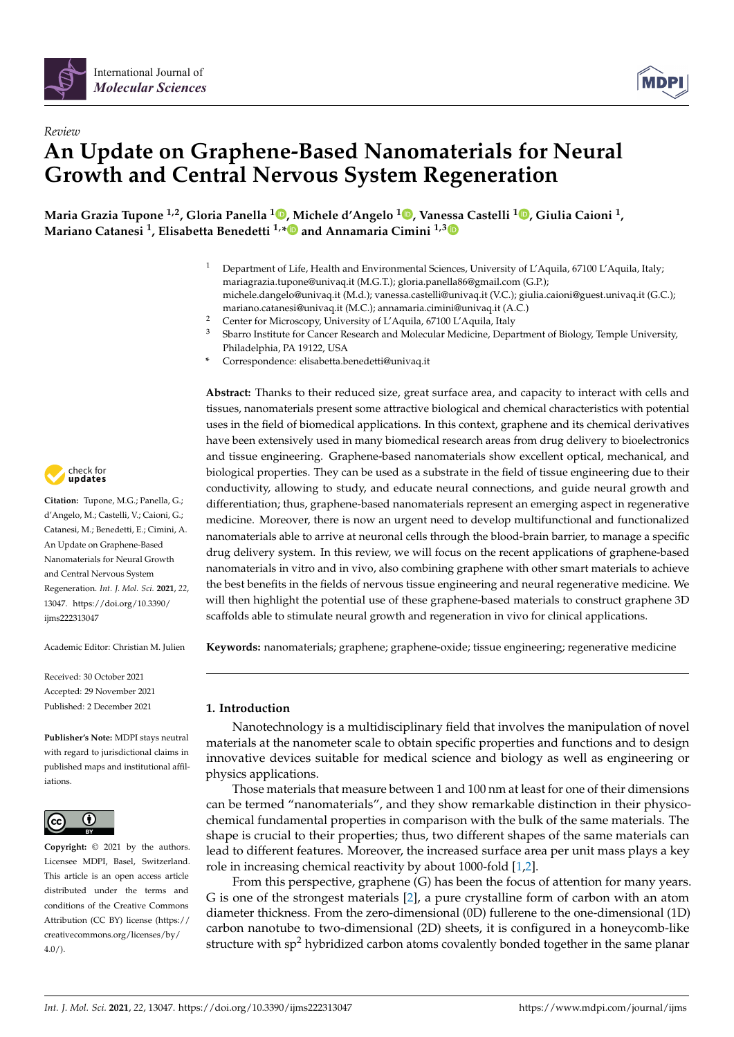

# *Review* **An Update on Graphene-Based Nanomaterials for Neural Growth and Central Nervous System Regeneration**

**Maria Grazia Tupone 1,2, Gloria Panella <sup>1</sup> [,](https://orcid.org/0000-0001-6251-1111) Michele d'Angelo <sup>1</sup> [,](https://orcid.org/0000-0002-3693-840X) Vanessa Castelli <sup>1</sup> [,](https://orcid.org/0000-0002-7005-3218) Giulia Caioni <sup>1</sup> , Mariano Catanesi <sup>1</sup> , Elisabetta Benedetti 1,[\\*](https://orcid.org/0000-0002-6740-7724) and Annamaria Cimini 1,[3](https://orcid.org/0000-0002-2737-7970)**

- <sup>1</sup> Department of Life, Health and Environmental Sciences, University of L'Aquila, 67100 L'Aquila, Italy; mariagrazia.tupone@univaq.it (M.G.T.); gloria.panella86@gmail.com (G.P.); michele.dangelo@univaq.it (M.d.); vanessa.castelli@univaq.it (V.C.); giulia.caioni@guest.univaq.it (G.C.); mariano.catanesi@univaq.it (M.C.); annamaria.cimini@univaq.it (A.C.)
- <sup>2</sup> Center for Microscopy, University of L'Aquila, 67100 L'Aquila, Italy<br><sup>3</sup> Sharra Instituto for Cancer Besearch and Molecular Medicine, Dona
- <sup>3</sup> Sbarro Institute for Cancer Research and Molecular Medicine, Department of Biology, Temple University, Philadelphia, PA 19122, USA
- **\*** Correspondence: elisabetta.benedetti@univaq.it

**Abstract:** Thanks to their reduced size, great surface area, and capacity to interact with cells and tissues, nanomaterials present some attractive biological and chemical characteristics with potential uses in the field of biomedical applications. In this context, graphene and its chemical derivatives have been extensively used in many biomedical research areas from drug delivery to bioelectronics and tissue engineering. Graphene-based nanomaterials show excellent optical, mechanical, and biological properties. They can be used as a substrate in the field of tissue engineering due to their conductivity, allowing to study, and educate neural connections, and guide neural growth and differentiation; thus, graphene-based nanomaterials represent an emerging aspect in regenerative medicine. Moreover, there is now an urgent need to develop multifunctional and functionalized nanomaterials able to arrive at neuronal cells through the blood-brain barrier, to manage a specific drug delivery system. In this review, we will focus on the recent applications of graphene-based nanomaterials in vitro and in vivo, also combining graphene with other smart materials to achieve the best benefits in the fields of nervous tissue engineering and neural regenerative medicine. We will then highlight the potential use of these graphene-based materials to construct graphene 3D scaffolds able to stimulate neural growth and regeneration in vivo for clinical applications.

**Keywords:** nanomaterials; graphene; graphene-oxide; tissue engineering; regenerative medicine

# **1. Introduction**

Nanotechnology is a multidisciplinary field that involves the manipulation of novel materials at the nanometer scale to obtain specific properties and functions and to design innovative devices suitable for medical science and biology as well as engineering or physics applications.

Those materials that measure between 1 and 100 nm at least for one of their dimensions can be termed "nanomaterials", and they show remarkable distinction in their physicochemical fundamental properties in comparison with the bulk of the same materials. The shape is crucial to their properties; thus, two different shapes of the same materials can lead to different features. Moreover, the increased surface area per unit mass plays a key role in increasing chemical reactivity by about 1000-fold [\[1,](#page-14-0)[2\]](#page-14-1).

From this perspective, graphene (G) has been the focus of attention for many years. G is one of the strongest materials [\[2\]](#page-14-1), a pure crystalline form of carbon with an atom diameter thickness. From the zero-dimensional (0D) fullerene to the one-dimensional (1D) carbon nanotube to two-dimensional (2D) sheets, it is configured in a honeycomb-like structure with  $sp<sup>2</sup>$  hybridized carbon atoms covalently bonded together in the same planar



**Citation:** Tupone, M.G.; Panella, G.; d'Angelo, M.; Castelli, V.; Caioni, G.; Catanesi, M.; Benedetti, E.; Cimini, A. An Update on Graphene-Based Nanomaterials for Neural Growth and Central Nervous System Regeneration. *Int. J. Mol. Sci.* **2021**, *22*, 13047. [https://doi.org/10.3390/](https://doi.org/10.3390/ijms222313047) [ijms222313047](https://doi.org/10.3390/ijms222313047)

Academic Editor: Christian M. Julien

Received: 30 October 2021 Accepted: 29 November 2021 Published: 2 December 2021

**Publisher's Note:** MDPI stays neutral with regard to jurisdictional claims in published maps and institutional affiliations.



**Copyright:** © 2021 by the authors. Licensee MDPI, Basel, Switzerland. This article is an open access article distributed under the terms and conditions of the Creative Commons Attribution (CC BY) license (https:/[/](https://creativecommons.org/licenses/by/4.0/) [creativecommons.org/licenses/by/](https://creativecommons.org/licenses/by/4.0/)  $4.0/$ ).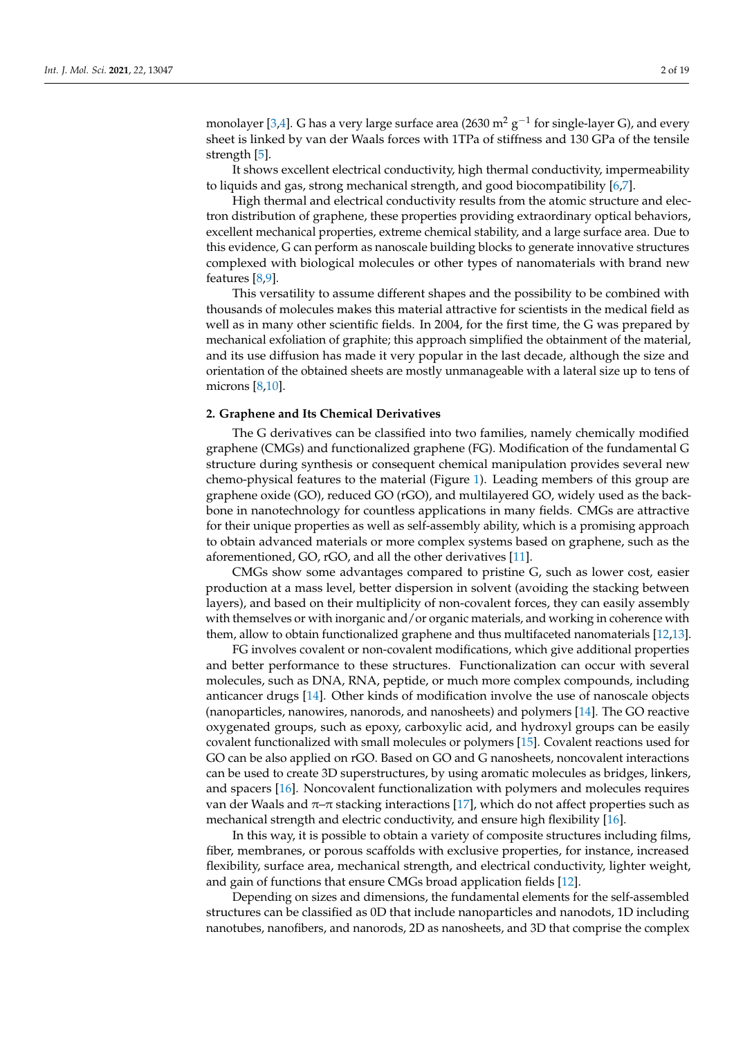monolayer [\[3,](#page-14-2)[4\]](#page-14-3). G has a very large surface area (2630  $\mathrm{m^2\,g^{-1}}$  for single-layer G), and every sheet is linked by van der Waals forces with 1TPa of stiffness and 130 GPa of the tensile strength [\[5\]](#page-14-4).

It shows excellent electrical conductivity, high thermal conductivity, impermeability to liquids and gas, strong mechanical strength, and good biocompatibility [\[6](#page-14-5)[,7\]](#page-14-6).

High thermal and electrical conductivity results from the atomic structure and electron distribution of graphene, these properties providing extraordinary optical behaviors, excellent mechanical properties, extreme chemical stability, and a large surface area. Due to this evidence, G can perform as nanoscale building blocks to generate innovative structures complexed with biological molecules or other types of nanomaterials with brand new features [\[8,](#page-14-7)[9\]](#page-14-8).

This versatility to assume different shapes and the possibility to be combined with thousands of molecules makes this material attractive for scientists in the medical field as well as in many other scientific fields. In 2004, for the first time, the G was prepared by mechanical exfoliation of graphite; this approach simplified the obtainment of the material, and its use diffusion has made it very popular in the last decade, although the size and orientation of the obtained sheets are mostly unmanageable with a lateral size up to tens of microns [\[8](#page-14-7)[,10\]](#page-14-9).

## **2. Graphene and Its Chemical Derivatives**

The G derivatives can be classified into two families, namely chemically modified graphene (CMGs) and functionalized graphene (FG). Modification of the fundamental G structure during synthesis or consequent chemical manipulation provides several new chemo-physical features to the material (Figure [1\)](#page-2-0). Leading members of this group are graphene oxide (GO), reduced GO (rGO), and multilayered GO, widely used as the backbone in nanotechnology for countless applications in many fields. CMGs are attractive for their unique properties as well as self-assembly ability, which is a promising approach to obtain advanced materials or more complex systems based on graphene, such as the aforementioned, GO, rGO, and all the other derivatives [\[11\]](#page-14-10).

CMGs show some advantages compared to pristine G, such as lower cost, easier production at a mass level, better dispersion in solvent (avoiding the stacking between layers), and based on their multiplicity of non-covalent forces, they can easily assembly with themselves or with inorganic and/or organic materials, and working in coherence with them, allow to obtain functionalized graphene and thus multifaceted nanomaterials [\[12](#page-14-11)[,13\]](#page-14-12).

FG involves covalent or non-covalent modifications, which give additional properties and better performance to these structures. Functionalization can occur with several molecules, such as DNA, RNA, peptide, or much more complex compounds, including anticancer drugs [\[14\]](#page-14-13). Other kinds of modification involve the use of nanoscale objects (nanoparticles, nanowires, nanorods, and nanosheets) and polymers [\[14\]](#page-14-13). The GO reactive oxygenated groups, such as epoxy, carboxylic acid, and hydroxyl groups can be easily covalent functionalized with small molecules or polymers [\[15\]](#page-14-14). Covalent reactions used for GO can be also applied on rGO. Based on GO and G nanosheets, noncovalent interactions can be used to create 3D superstructures, by using aromatic molecules as bridges, linkers, and spacers [\[16\]](#page-14-15). Noncovalent functionalization with polymers and molecules requires van der Waals and  $π$ –π stacking interactions [\[17\]](#page-14-16), which do not affect properties such as mechanical strength and electric conductivity, and ensure high flexibility [\[16\]](#page-14-15).

In this way, it is possible to obtain a variety of composite structures including films, fiber, membranes, or porous scaffolds with exclusive properties, for instance, increased flexibility, surface area, mechanical strength, and electrical conductivity, lighter weight, and gain of functions that ensure CMGs broad application fields [\[12\]](#page-14-11).

Depending on sizes and dimensions, the fundamental elements for the self-assembled structures can be classified as 0D that include nanoparticles and nanodots, 1D including nanotubes, nanofibers, and nanorods, 2D as nanosheets, and 3D that comprise the complex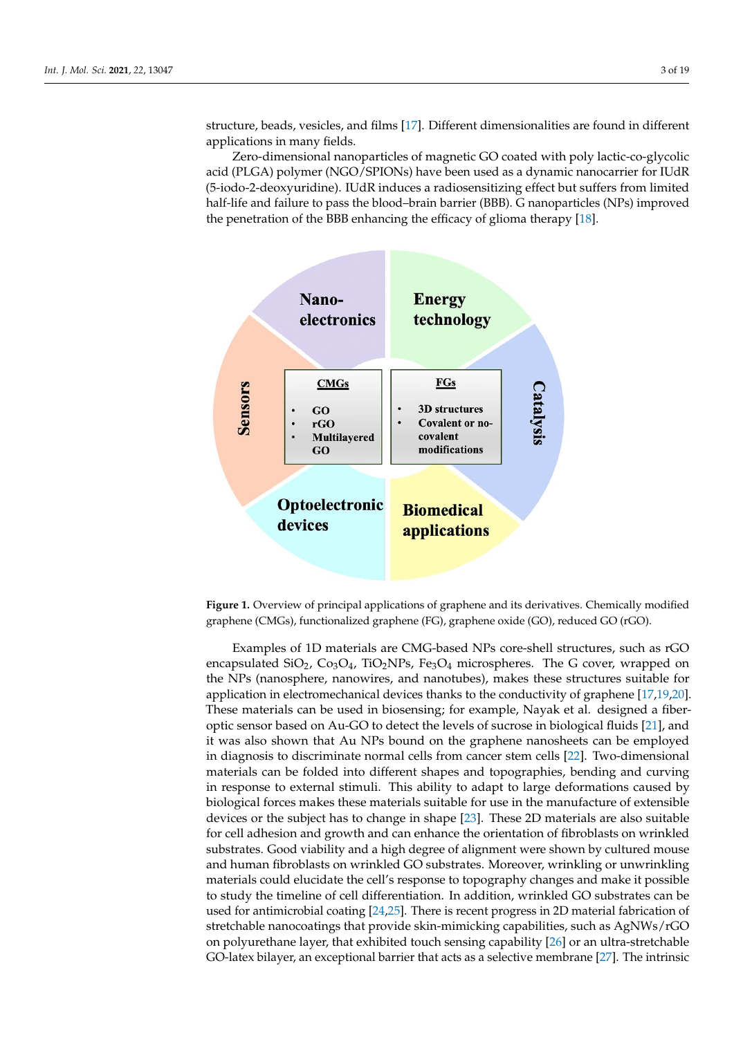structure, beads, vesicles, and films [\[17\]](#page-14-16). Different dimensionalities are found in different applications in many fields.

Zero-dimensional nanoparticles of magnetic GO coated with poly lactic-co-glycolic acid (PLGA) polymer (NGO/SPIONs) have been used as a dynamic nanocarrier for IUdR (5-iodo-2-deoxyuridine). IUdR induces a radiosensitizing effect but suffers from limited half-life and failure to pass the blood–brain barrier (BBB). G nanoparticles (NPs) improved the penetration of the BBB enhancing the efficacy of glioma therapy [\[18\]](#page-14-17).

<span id="page-2-0"></span>

graphene (CMGs), functionalized graphene (FG), graphene oxide (GO), reduced GO (rGO).  $\frac{1}{\sqrt{2}}$ **Figure 1.** Overview of principal applications of graphene and its derivatives. Chemically modified

encapsulated SiO<sub>2</sub>, Co<sub>3</sub>O<sub>4</sub>, TiO<sub>2</sub>NPs, Fe<sub>3</sub>O<sub>4</sub> microspheres. The G cover, wrapped on the NPs (nanosphere, nanowires, and nanotubes), makes these structures suitable for application in electromechanical devices thanks to the conductivity of graphene [17,19[,20\]](#page-15-0). These materials can be used in biosensing; for example, Nayak et al. designed a fiberoptic sensor based on Au-GO to detect the levels of sucrose in biological fluids [21], and it was also shown that Au NPs bound on the graphene nanosheets can be employed in diagnosis to discriminate normal cells from cancer stem cells [\[22\]](#page-15-2). Two-dimensional materials can be folded into different shapes and topographies, bending and curving in response to external stimuli. This ability to adapt to large deformations caused by biological forces makes these materials suitable for use in the manufacture of extensible devices or the subject has to change in shape [\[23\]](#page-15-3). These 2D materials are also suitable for cell adhesion and growth and can enhance the orientation of fibroblasts on wrinkled substrates. Good viability and a high degree of alignment were shown by cultured mouse and human fibroblasts on wrinkled GO substrates. Moreover, wrinkling or unwrinkling materials could elucidate the cell's response to topography changes and make it possible to study the timeline of cell differentiation. In addition, wrinkled GO substrates can be used for antimicrobial coating  $[24,25]$  $[24,25]$ . There is recent progress in 2D material fabrication of stretchable nanocoatings that provide skin-mimicking capabilities, such as AgNWs/rGO on polyurethane layer, that exhibited touch sensing capability [\[26\]](#page-15-6) or an ultra-stretchable GO-latex bilayer, an exceptional barrier that acts as a selective membrane [\[27\]](#page-15-7). The intrinsic Examples of 1D materials are CMG-based NPs core-shell structures, such as rGO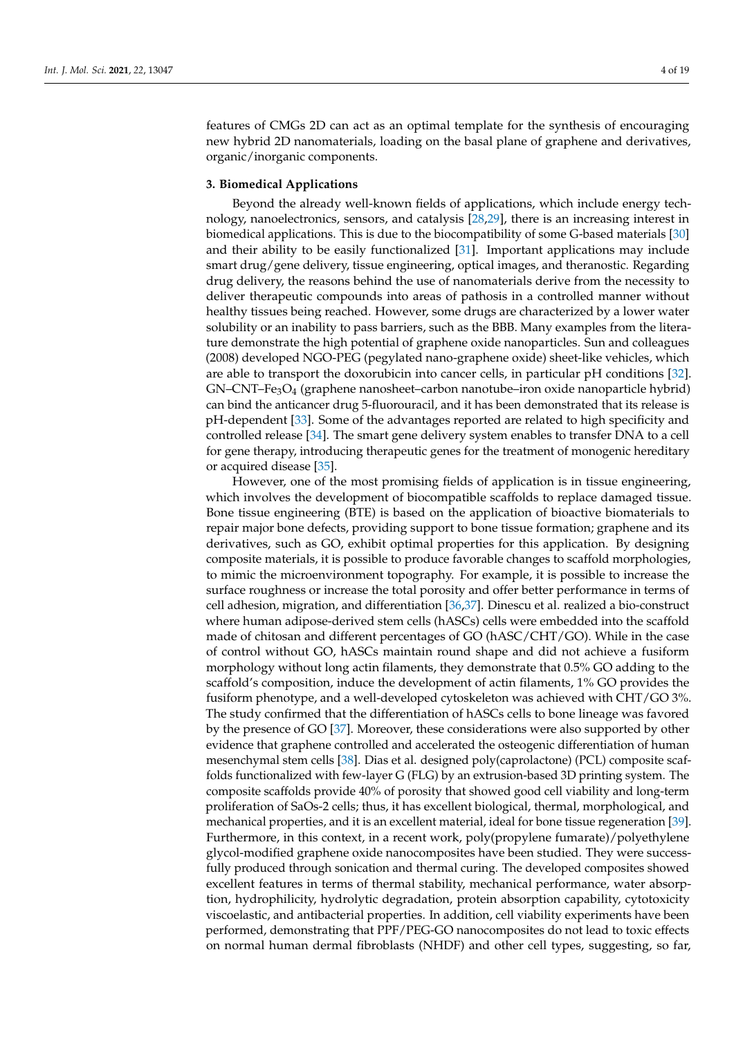features of CMGs 2D can act as an optimal template for the synthesis of encouraging new hybrid 2D nanomaterials, loading on the basal plane of graphene and derivatives, organic/inorganic components.

#### **3. Biomedical Applications**

Beyond the already well-known fields of applications, which include energy technology, nanoelectronics, sensors, and catalysis [\[28](#page-15-8)[,29\]](#page-15-9), there is an increasing interest in biomedical applications. This is due to the biocompatibility of some G-based materials [\[30\]](#page-15-10) and their ability to be easily functionalized [\[31\]](#page-15-11). Important applications may include smart drug/gene delivery, tissue engineering, optical images, and theranostic. Regarding drug delivery, the reasons behind the use of nanomaterials derive from the necessity to deliver therapeutic compounds into areas of pathosis in a controlled manner without healthy tissues being reached. However, some drugs are characterized by a lower water solubility or an inability to pass barriers, such as the BBB. Many examples from the literature demonstrate the high potential of graphene oxide nanoparticles. Sun and colleagues (2008) developed NGO-PEG (pegylated nano-graphene oxide) sheet-like vehicles, which are able to transport the doxorubicin into cancer cells, in particular pH conditions [\[32\]](#page-15-12).  $GN-CNT-Fe<sub>3</sub>O<sub>4</sub>$  (graphene nanosheet–carbon nanotube–iron oxide nanoparticle hybrid) can bind the anticancer drug 5-fluorouracil, and it has been demonstrated that its release is pH-dependent [\[33\]](#page-15-13). Some of the advantages reported are related to high specificity and controlled release [\[34\]](#page-15-14). The smart gene delivery system enables to transfer DNA to a cell for gene therapy, introducing therapeutic genes for the treatment of monogenic hereditary or acquired disease [\[35\]](#page-15-15).

However, one of the most promising fields of application is in tissue engineering, which involves the development of biocompatible scaffolds to replace damaged tissue. Bone tissue engineering (BTE) is based on the application of bioactive biomaterials to repair major bone defects, providing support to bone tissue formation; graphene and its derivatives, such as GO, exhibit optimal properties for this application. By designing composite materials, it is possible to produce favorable changes to scaffold morphologies, to mimic the microenvironment topography. For example, it is possible to increase the surface roughness or increase the total porosity and offer better performance in terms of cell adhesion, migration, and differentiation [\[36](#page-15-16)[,37\]](#page-15-17). Dinescu et al. realized a bio-construct where human adipose-derived stem cells (hASCs) cells were embedded into the scaffold made of chitosan and different percentages of GO (hASC/CHT/GO). While in the case of control without GO, hASCs maintain round shape and did not achieve a fusiform morphology without long actin filaments, they demonstrate that 0.5% GO adding to the scaffold's composition, induce the development of actin filaments, 1% GO provides the fusiform phenotype, and a well-developed cytoskeleton was achieved with CHT/GO 3%. The study confirmed that the differentiation of hASCs cells to bone lineage was favored by the presence of GO [\[37\]](#page-15-17). Moreover, these considerations were also supported by other evidence that graphene controlled and accelerated the osteogenic differentiation of human mesenchymal stem cells [\[38\]](#page-15-18). Dias et al. designed poly(caprolactone) (PCL) composite scaffolds functionalized with few-layer G (FLG) by an extrusion-based 3D printing system. The composite scaffolds provide 40% of porosity that showed good cell viability and long-term proliferation of SaOs-2 cells; thus, it has excellent biological, thermal, morphological, and mechanical properties, and it is an excellent material, ideal for bone tissue regeneration [\[39\]](#page-15-19). Furthermore, in this context, in a recent work, poly(propylene fumarate)/polyethylene glycol-modified graphene oxide nanocomposites have been studied. They were successfully produced through sonication and thermal curing. The developed composites showed excellent features in terms of thermal stability, mechanical performance, water absorption, hydrophilicity, hydrolytic degradation, protein absorption capability, cytotoxicity viscoelastic, and antibacterial properties. In addition, cell viability experiments have been performed, demonstrating that PPF/PEG-GO nanocomposites do not lead to toxic effects on normal human dermal fibroblasts (NHDF) and other cell types, suggesting, so far,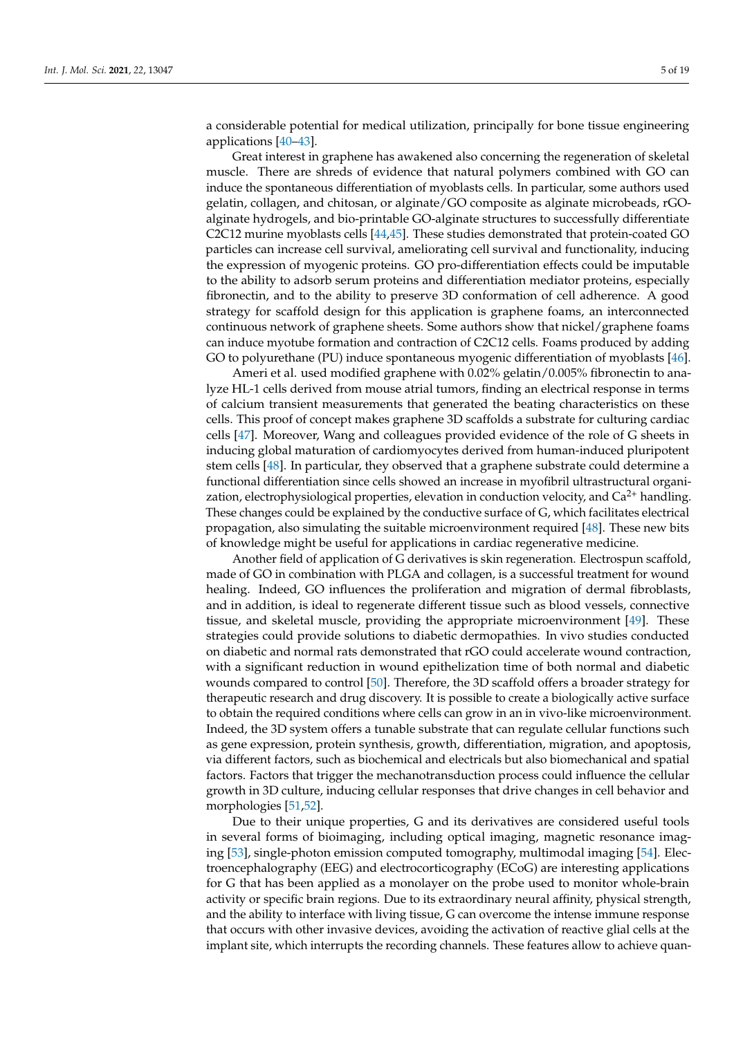a considerable potential for medical utilization, principally for bone tissue engineering applications [\[40–](#page-15-20)[43\]](#page-15-21).

Great interest in graphene has awakened also concerning the regeneration of skeletal muscle. There are shreds of evidence that natural polymers combined with GO can induce the spontaneous differentiation of myoblasts cells. In particular, some authors used gelatin, collagen, and chitosan, or alginate/GO composite as alginate microbeads, rGOalginate hydrogels, and bio-printable GO-alginate structures to successfully differentiate C2C12 murine myoblasts cells [\[44](#page-15-22)[,45\]](#page-15-23). These studies demonstrated that protein-coated GO particles can increase cell survival, ameliorating cell survival and functionality, inducing the expression of myogenic proteins. GO pro-differentiation effects could be imputable to the ability to adsorb serum proteins and differentiation mediator proteins, especially fibronectin, and to the ability to preserve 3D conformation of cell adherence. A good strategy for scaffold design for this application is graphene foams, an interconnected continuous network of graphene sheets. Some authors show that nickel/graphene foams can induce myotube formation and contraction of C2C12 cells. Foams produced by adding GO to polyurethane (PU) induce spontaneous myogenic differentiation of myoblasts [\[46\]](#page-16-0).

Ameri et al. used modified graphene with 0.02% gelatin/0.005% fibronectin to analyze HL-1 cells derived from mouse atrial tumors, finding an electrical response in terms of calcium transient measurements that generated the beating characteristics on these cells. This proof of concept makes graphene 3D scaffolds a substrate for culturing cardiac cells [\[47\]](#page-16-1). Moreover, Wang and colleagues provided evidence of the role of G sheets in inducing global maturation of cardiomyocytes derived from human-induced pluripotent stem cells [\[48\]](#page-16-2). In particular, they observed that a graphene substrate could determine a functional differentiation since cells showed an increase in myofibril ultrastructural organization, electrophysiological properties, elevation in conduction velocity, and  $Ca^{2+}$  handling. These changes could be explained by the conductive surface of G, which facilitates electrical propagation, also simulating the suitable microenvironment required [\[48\]](#page-16-2). These new bits of knowledge might be useful for applications in cardiac regenerative medicine.

Another field of application of G derivatives is skin regeneration. Electrospun scaffold, made of GO in combination with PLGA and collagen, is a successful treatment for wound healing. Indeed, GO influences the proliferation and migration of dermal fibroblasts, and in addition, is ideal to regenerate different tissue such as blood vessels, connective tissue, and skeletal muscle, providing the appropriate microenvironment [\[49\]](#page-16-3). These strategies could provide solutions to diabetic dermopathies. In vivo studies conducted on diabetic and normal rats demonstrated that rGO could accelerate wound contraction, with a significant reduction in wound epithelization time of both normal and diabetic wounds compared to control [\[50\]](#page-16-4). Therefore, the 3D scaffold offers a broader strategy for therapeutic research and drug discovery. It is possible to create a biologically active surface to obtain the required conditions where cells can grow in an in vivo-like microenvironment. Indeed, the 3D system offers a tunable substrate that can regulate cellular functions such as gene expression, protein synthesis, growth, differentiation, migration, and apoptosis, via different factors, such as biochemical and electricals but also biomechanical and spatial factors. Factors that trigger the mechanotransduction process could influence the cellular growth in 3D culture, inducing cellular responses that drive changes in cell behavior and morphologies [\[51,](#page-16-5)[52\]](#page-16-6).

Due to their unique properties, G and its derivatives are considered useful tools in several forms of bioimaging, including optical imaging, magnetic resonance imaging [\[53\]](#page-16-7), single-photon emission computed tomography, multimodal imaging [\[54\]](#page-16-8). Electroencephalography (EEG) and electrocorticography (ECoG) are interesting applications for G that has been applied as a monolayer on the probe used to monitor whole-brain activity or specific brain regions. Due to its extraordinary neural affinity, physical strength, and the ability to interface with living tissue, G can overcome the intense immune response that occurs with other invasive devices, avoiding the activation of reactive glial cells at the implant site, which interrupts the recording channels. These features allow to achieve quan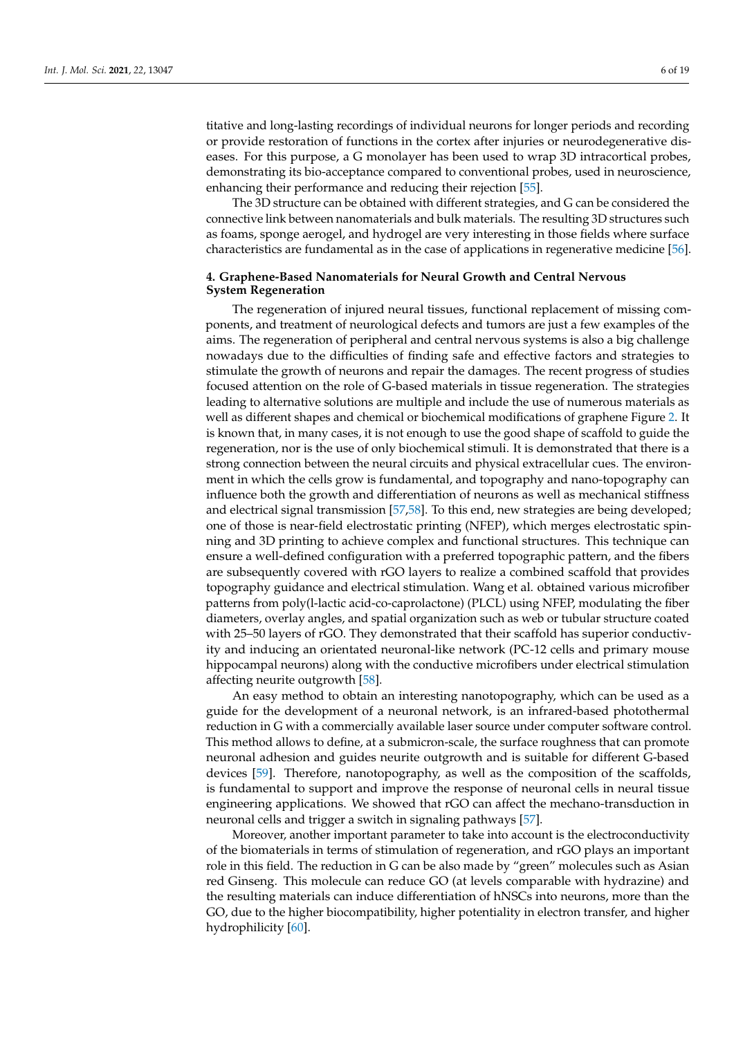titative and long-lasting recordings of individual neurons for longer periods and recording or provide restoration of functions in the cortex after injuries or neurodegenerative diseases. For this purpose, a G monolayer has been used to wrap 3D intracortical probes, demonstrating its bio-acceptance compared to conventional probes, used in neuroscience, enhancing their performance and reducing their rejection [\[55\]](#page-16-9).

The 3D structure can be obtained with different strategies, and G can be considered the connective link between nanomaterials and bulk materials. The resulting 3D structures such as foams, sponge aerogel, and hydrogel are very interesting in those fields where surface characteristics are fundamental as in the case of applications in regenerative medicine [\[56\]](#page-16-10).

## **4. Graphene-Based Nanomaterials for Neural Growth and Central Nervous System Regeneration**

The regeneration of injured neural tissues, functional replacement of missing components, and treatment of neurological defects and tumors are just a few examples of the aims. The regeneration of peripheral and central nervous systems is also a big challenge nowadays due to the difficulties of finding safe and effective factors and strategies to stimulate the growth of neurons and repair the damages. The recent progress of studies focused attention on the role of G-based materials in tissue regeneration. The strategies leading to alternative solutions are multiple and include the use of numerous materials as well as different shapes and chemical or biochemical modifications of graphene Figure [2.](#page-6-0) It is known that, in many cases, it is not enough to use the good shape of scaffold to guide the regeneration, nor is the use of only biochemical stimuli. It is demonstrated that there is a strong connection between the neural circuits and physical extracellular cues. The environment in which the cells grow is fundamental, and topography and nano-topography can influence both the growth and differentiation of neurons as well as mechanical stiffness and electrical signal transmission [\[57](#page-16-11)[,58\]](#page-16-12). To this end, new strategies are being developed; one of those is near-field electrostatic printing (NFEP), which merges electrostatic spinning and 3D printing to achieve complex and functional structures. This technique can ensure a well-defined configuration with a preferred topographic pattern, and the fibers are subsequently covered with rGO layers to realize a combined scaffold that provides topography guidance and electrical stimulation. Wang et al. obtained various microfiber patterns from poly(l-lactic acid-co-caprolactone) (PLCL) using NFEP, modulating the fiber diameters, overlay angles, and spatial organization such as web or tubular structure coated with 25–50 layers of rGO. They demonstrated that their scaffold has superior conductivity and inducing an orientated neuronal-like network (PC-12 cells and primary mouse hippocampal neurons) along with the conductive microfibers under electrical stimulation affecting neurite outgrowth [\[58\]](#page-16-12).

An easy method to obtain an interesting nanotopography, which can be used as a guide for the development of a neuronal network, is an infrared-based photothermal reduction in G with a commercially available laser source under computer software control. This method allows to define, at a submicron-scale, the surface roughness that can promote neuronal adhesion and guides neurite outgrowth and is suitable for different G-based devices [\[59\]](#page-16-13). Therefore, nanotopography, as well as the composition of the scaffolds, is fundamental to support and improve the response of neuronal cells in neural tissue engineering applications. We showed that rGO can affect the mechano-transduction in neuronal cells and trigger a switch in signaling pathways [\[57\]](#page-16-11).

Moreover, another important parameter to take into account is the electroconductivity of the biomaterials in terms of stimulation of regeneration, and rGO plays an important role in this field. The reduction in G can be also made by "green" molecules such as Asian red Ginseng. This molecule can reduce GO (at levels comparable with hydrazine) and the resulting materials can induce differentiation of hNSCs into neurons, more than the GO, due to the higher biocompatibility, higher potentiality in electron transfer, and higher hydrophilicity [\[60\]](#page-16-14).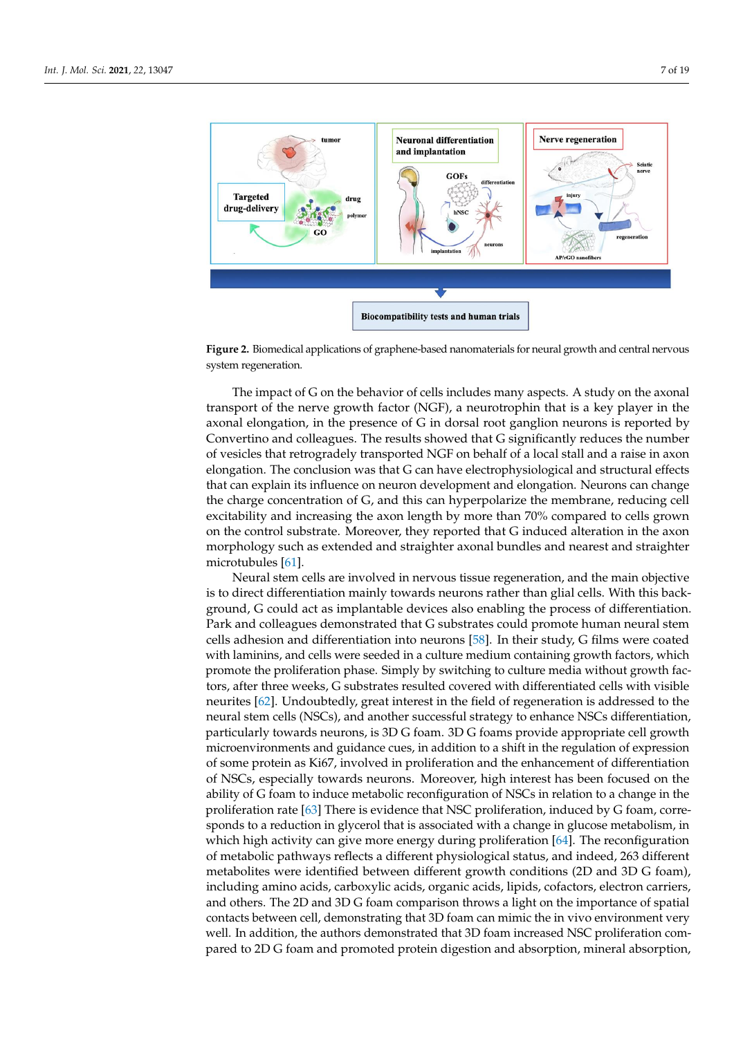<span id="page-6-0"></span>

**Figure 2.** Biomedical applications of graphene-based nanomaterials for neural growth and central nervous<br>explore measure is a set of the set of the set of the set of the set of the set of the set of the set of the set o system regeneration.

transport of the nerve growth factor (NGF), a neurotrophin that is a key player in the used as a key player in the axonal elongation, in the presence of G in dorsal root ganglion neurons is reported by  $\alpha$  commercial computer, in the presence of  $\sigma$  in about 1000 gangion neutrino is reported by Convertino and colleagues. The results showed that G significantly reduces the number This method allows to define, at a submicron-scale, the surface roughness that can pro-of vesicles that retrogradely transported NGF on behalf of a local stall and a raise in axon elongation. The conclusion was that G can have electrophysiological and structural effects eforgation. The concrassion was that G can have electrophysiological and structural encets that can explain its influence on neuron development and elongation. Neurons can change is fundamental to support and improve the response of neuronal cells in neural tissue the charge concentration of G, and this can hyperpolarize the membrane, reducing cell<br>the charge concentration of G, and this can hyperpolarize the membrane, reducing cell excitability and increasing the axon length by more than 70% compared to cells grown on the control substrate. Moreover, they reported that G induced alteration in the axon morphology such as extended and straighter axonal bundles and nearest and straighter<br>interact and  $\frac{1}{2}$ role in this field. The reduction in G can be also made by "green" molecules such as Asian The impact of G on the behavior of cells includes many aspects. A study on the axonal microtubules [\[61\]](#page-16-15).

Neural stem cells are involved in nervous tissue regeneration, and the main objective<br>diagonalism is to direct differentiation mainly towards neurons rather than glial cells. With this back-<br> $\frac{1}{2}$ ground, G could act as implantable devices also enabling the process of differentiation.<br>Referentiation Park and colleagues demonstrated that G substrates could promote human neural stem cells adhesion and differentiation into neurons [\[58\]](#page-16-12). In their study, G films were coated  $\cdots$ with laminins, and cells were seeded in a culture medium containing growth factors, which promote the proliferation phase. Simply by switching to culture media without growth factors, after three weeks, G substrates resulted covered with differentiated cells with visible neurites [\[62\]](#page-16-16). Undoubtedly, great interest in the field of regeneration is addressed to the neural stem cells (NSCs), and another successful strategy to enhance NSCs differentiation, particularly towards neurons, is 3D G foam. 3D G foams provide appropriate cell growth microenvironments and guidance cues, in addition to a shift in the regulation of expression of some protein as Ki67, involved in proliferation and the enhancement of differentiation of NSCs, especially towards neurons. Moreover, high interest has been focused on the ability of G foam to induce metabolic reconfiguration of NSCs in relation to a change in the proliferation rate [\[63\]](#page-16-17) There is evidence that NSC proliferation, induced by G foam, corresponds to a reduction in glycerol that is associated with a change in glucose metabolism, in which high activity can give more energy during proliferation [\[64\]](#page-16-18). The reconfiguration of metabolic pathways reflects a different physiological status, and indeed, 263 different metabolites were identified between different growth conditions (2D and 3D G foam), including amino acids, carboxylic acids, organic acids, lipids, cofactors, electron carriers, and others. The 2D and 3D G foam comparison throws a light on the importance of spatial contacts between cell, demonstrating that 3D foam can mimic the in vivo environment very well. In addition, the authors demonstrated that 3D foam increased NSC proliferation compared to 2D G foam and promoted protein digestion and absorption, mineral absorption,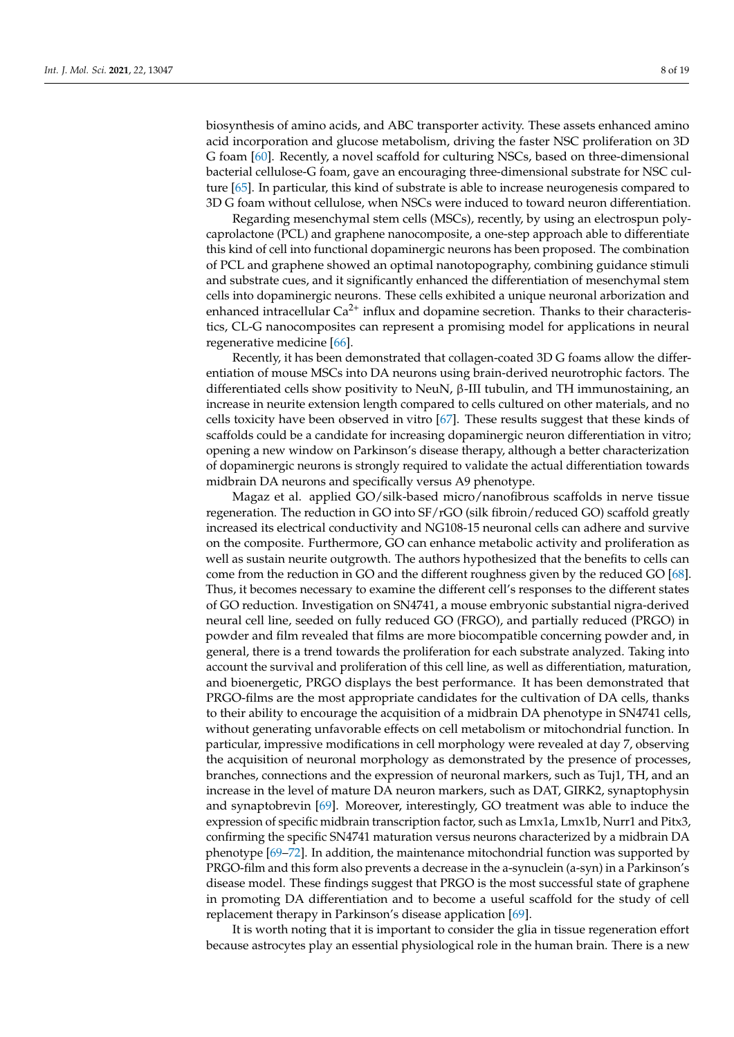biosynthesis of amino acids, and ABC transporter activity. These assets enhanced amino acid incorporation and glucose metabolism, driving the faster NSC proliferation on 3D G foam [\[60\]](#page-16-14). Recently, a novel scaffold for culturing NSCs, based on three-dimensional bacterial cellulose-G foam, gave an encouraging three-dimensional substrate for NSC culture [\[65\]](#page-16-19). In particular, this kind of substrate is able to increase neurogenesis compared to 3D G foam without cellulose, when NSCs were induced to toward neuron differentiation.

Regarding mesenchymal stem cells (MSCs), recently, by using an electrospun polycaprolactone (PCL) and graphene nanocomposite, a one-step approach able to differentiate this kind of cell into functional dopaminergic neurons has been proposed. The combination of PCL and graphene showed an optimal nanotopography, combining guidance stimuli and substrate cues, and it significantly enhanced the differentiation of mesenchymal stem cells into dopaminergic neurons. These cells exhibited a unique neuronal arborization and enhanced intracellular  $Ca^{2+}$  influx and dopamine secretion. Thanks to their characteristics, CL-G nanocomposites can represent a promising model for applications in neural regenerative medicine [\[66\]](#page-16-20).

Recently, it has been demonstrated that collagen-coated 3D G foams allow the differentiation of mouse MSCs into DA neurons using brain-derived neurotrophic factors. The differentiated cells show positivity to NeuN, β-III tubulin, and TH immunostaining, an increase in neurite extension length compared to cells cultured on other materials, and no cells toxicity have been observed in vitro [\[67\]](#page-16-21). These results suggest that these kinds of scaffolds could be a candidate for increasing dopaminergic neuron differentiation in vitro; opening a new window on Parkinson's disease therapy, although a better characterization of dopaminergic neurons is strongly required to validate the actual differentiation towards midbrain DA neurons and specifically versus A9 phenotype.

Magaz et al. applied GO/silk-based micro/nanofibrous scaffolds in nerve tissue regeneration. The reduction in GO into SF/rGO (silk fibroin/reduced GO) scaffold greatly increased its electrical conductivity and NG108-15 neuronal cells can adhere and survive on the composite. Furthermore, GO can enhance metabolic activity and proliferation as well as sustain neurite outgrowth. The authors hypothesized that the benefits to cells can come from the reduction in GO and the different roughness given by the reduced GO [\[68\]](#page-16-22). Thus, it becomes necessary to examine the different cell's responses to the different states of GO reduction. Investigation on SN4741, a mouse embryonic substantial nigra-derived neural cell line, seeded on fully reduced GO (FRGO), and partially reduced (PRGO) in powder and film revealed that films are more biocompatible concerning powder and, in general, there is a trend towards the proliferation for each substrate analyzed. Taking into account the survival and proliferation of this cell line, as well as differentiation, maturation, and bioenergetic, PRGO displays the best performance. It has been demonstrated that PRGO-films are the most appropriate candidates for the cultivation of DA cells, thanks to their ability to encourage the acquisition of a midbrain DA phenotype in SN4741 cells, without generating unfavorable effects on cell metabolism or mitochondrial function. In particular, impressive modifications in cell morphology were revealed at day 7, observing the acquisition of neuronal morphology as demonstrated by the presence of processes, branches, connections and the expression of neuronal markers, such as Tuj1, TH, and an increase in the level of mature DA neuron markers, such as DAT, GIRK2, synaptophysin and synaptobrevin [\[69\]](#page-16-23). Moreover, interestingly, GO treatment was able to induce the expression of specific midbrain transcription factor, such as Lmx1a, Lmx1b, Nurr1 and Pitx3, confirming the specific SN4741 maturation versus neurons characterized by a midbrain DA phenotype [\[69–](#page-16-23)[72\]](#page-17-0). In addition, the maintenance mitochondrial function was supported by PRGO-film and this form also prevents a decrease in the a-synuclein (a-syn) in a Parkinson's disease model. These findings suggest that PRGO is the most successful state of graphene in promoting DA differentiation and to become a useful scaffold for the study of cell replacement therapy in Parkinson's disease application [\[69\]](#page-16-23).

It is worth noting that it is important to consider the glia in tissue regeneration effort because astrocytes play an essential physiological role in the human brain. There is a new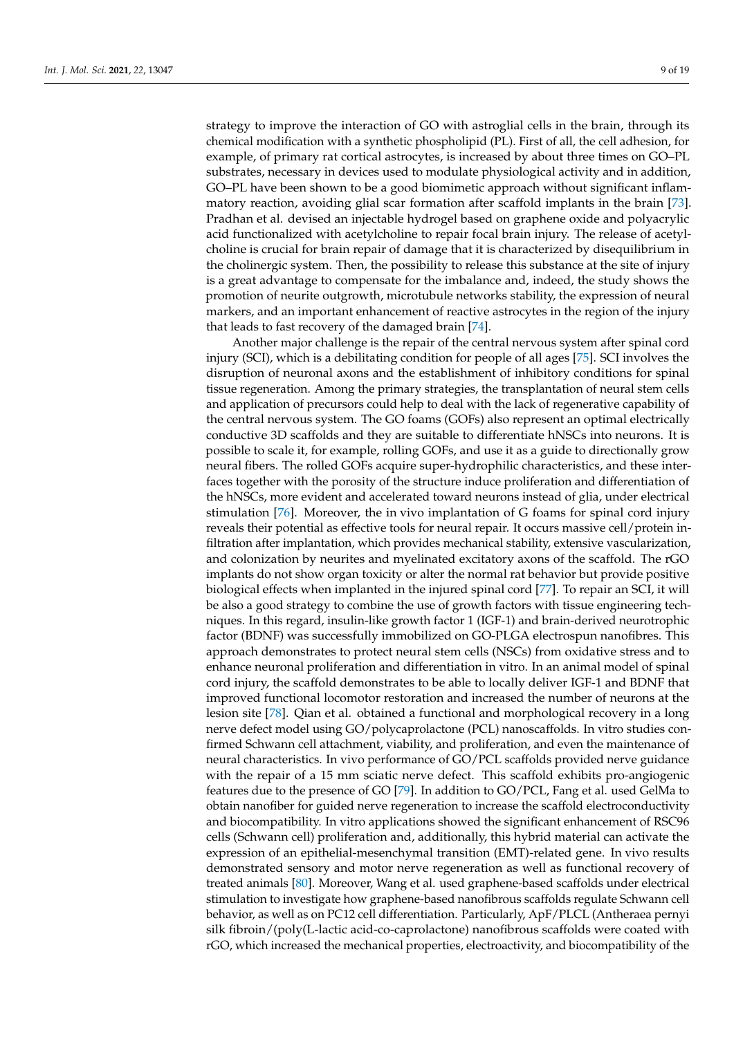strategy to improve the interaction of GO with astroglial cells in the brain, through its chemical modification with a synthetic phospholipid (PL). First of all, the cell adhesion, for example, of primary rat cortical astrocytes, is increased by about three times on GO–PL substrates, necessary in devices used to modulate physiological activity and in addition, GO–PL have been shown to be a good biomimetic approach without significant inflammatory reaction, avoiding glial scar formation after scaffold implants in the brain [\[73\]](#page-17-1). Pradhan et al. devised an injectable hydrogel based on graphene oxide and polyacrylic acid functionalized with acetylcholine to repair focal brain injury. The release of acetylcholine is crucial for brain repair of damage that it is characterized by disequilibrium in the cholinergic system. Then, the possibility to release this substance at the site of injury is a great advantage to compensate for the imbalance and, indeed, the study shows the promotion of neurite outgrowth, microtubule networks stability, the expression of neural markers, and an important enhancement of reactive astrocytes in the region of the injury

that leads to fast recovery of the damaged brain [\[74\]](#page-17-2). Another major challenge is the repair of the central nervous system after spinal cord injury (SCI), which is a debilitating condition for people of all ages [\[75\]](#page-17-3). SCI involves the disruption of neuronal axons and the establishment of inhibitory conditions for spinal tissue regeneration. Among the primary strategies, the transplantation of neural stem cells and application of precursors could help to deal with the lack of regenerative capability of the central nervous system. The GO foams (GOFs) also represent an optimal electrically conductive 3D scaffolds and they are suitable to differentiate hNSCs into neurons. It is possible to scale it, for example, rolling GOFs, and use it as a guide to directionally grow neural fibers. The rolled GOFs acquire super-hydrophilic characteristics, and these interfaces together with the porosity of the structure induce proliferation and differentiation of the hNSCs, more evident and accelerated toward neurons instead of glia, under electrical stimulation [\[76\]](#page-17-4). Moreover, the in vivo implantation of G foams for spinal cord injury reveals their potential as effective tools for neural repair. It occurs massive cell/protein infiltration after implantation, which provides mechanical stability, extensive vascularization, and colonization by neurites and myelinated excitatory axons of the scaffold. The rGO implants do not show organ toxicity or alter the normal rat behavior but provide positive biological effects when implanted in the injured spinal cord [\[77\]](#page-17-5). To repair an SCI, it will be also a good strategy to combine the use of growth factors with tissue engineering techniques. In this regard, insulin-like growth factor 1 (IGF-1) and brain-derived neurotrophic factor (BDNF) was successfully immobilized on GO-PLGA electrospun nanofibres. This approach demonstrates to protect neural stem cells (NSCs) from oxidative stress and to enhance neuronal proliferation and differentiation in vitro. In an animal model of spinal cord injury, the scaffold demonstrates to be able to locally deliver IGF-1 and BDNF that improved functional locomotor restoration and increased the number of neurons at the lesion site [\[78\]](#page-17-6). Qian et al. obtained a functional and morphological recovery in a long nerve defect model using GO/polycaprolactone (PCL) nanoscaffolds. In vitro studies confirmed Schwann cell attachment, viability, and proliferation, and even the maintenance of neural characteristics. In vivo performance of GO/PCL scaffolds provided nerve guidance with the repair of a 15 mm sciatic nerve defect. This scaffold exhibits pro-angiogenic features due to the presence of GO [\[79\]](#page-17-7). In addition to GO/PCL, Fang et al. used GelMa to obtain nanofiber for guided nerve regeneration to increase the scaffold electroconductivity and biocompatibility. In vitro applications showed the significant enhancement of RSC96 cells (Schwann cell) proliferation and, additionally, this hybrid material can activate the expression of an epithelial-mesenchymal transition (EMT)-related gene. In vivo results demonstrated sensory and motor nerve regeneration as well as functional recovery of treated animals [\[80\]](#page-17-8). Moreover, Wang et al. used graphene-based scaffolds under electrical stimulation to investigate how graphene-based nanofibrous scaffolds regulate Schwann cell behavior, as well as on PC12 cell differentiation. Particularly, ApF/PLCL (Antheraea pernyi silk fibroin/(poly(L-lactic acid-co-caprolactone) nanofibrous scaffolds were coated with rGO, which increased the mechanical properties, electroactivity, and biocompatibility of the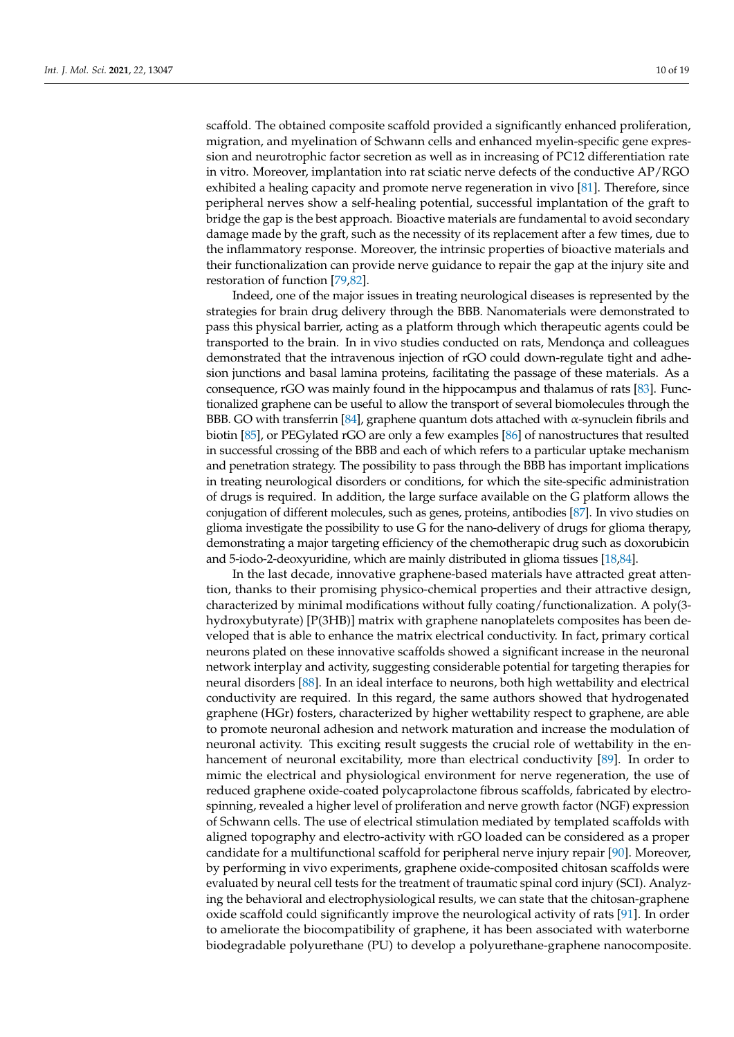scaffold. The obtained composite scaffold provided a significantly enhanced proliferation, migration, and myelination of Schwann cells and enhanced myelin-specific gene expression and neurotrophic factor secretion as well as in increasing of PC12 differentiation rate in vitro. Moreover, implantation into rat sciatic nerve defects of the conductive AP/RGO exhibited a healing capacity and promote nerve regeneration in vivo [\[81\]](#page-17-9). Therefore, since peripheral nerves show a self-healing potential, successful implantation of the graft to bridge the gap is the best approach. Bioactive materials are fundamental to avoid secondary damage made by the graft, such as the necessity of its replacement after a few times, due to the inflammatory response. Moreover, the intrinsic properties of bioactive materials and their functionalization can provide nerve guidance to repair the gap at the injury site and restoration of function [\[79](#page-17-7)[,82\]](#page-17-10).

Indeed, one of the major issues in treating neurological diseases is represented by the strategies for brain drug delivery through the BBB. Nanomaterials were demonstrated to pass this physical barrier, acting as a platform through which therapeutic agents could be transported to the brain. In in vivo studies conducted on rats, Mendonça and colleagues demonstrated that the intravenous injection of rGO could down-regulate tight and adhesion junctions and basal lamina proteins, facilitating the passage of these materials. As a consequence, rGO was mainly found in the hippocampus and thalamus of rats [\[83\]](#page-17-11). Functionalized graphene can be useful to allow the transport of several biomolecules through the BBB. GO with transferrin [\[84\]](#page-17-12), graphene quantum dots attached with  $\alpha$ -synuclein fibrils and biotin [\[85\]](#page-17-13), or PEGylated rGO are only a few examples [\[86\]](#page-17-14) of nanostructures that resulted in successful crossing of the BBB and each of which refers to a particular uptake mechanism and penetration strategy. The possibility to pass through the BBB has important implications in treating neurological disorders or conditions, for which the site-specific administration of drugs is required. In addition, the large surface available on the G platform allows the conjugation of different molecules, such as genes, proteins, antibodies [\[87\]](#page-17-15). In vivo studies on glioma investigate the possibility to use G for the nano-delivery of drugs for glioma therapy, demonstrating a major targeting efficiency of the chemotherapic drug such as doxorubicin and 5-iodo-2-deoxyuridine, which are mainly distributed in glioma tissues [\[18](#page-14-17)[,84\]](#page-17-12).

In the last decade, innovative graphene-based materials have attracted great attention, thanks to their promising physico-chemical properties and their attractive design, characterized by minimal modifications without fully coating/functionalization. A poly(3 hydroxybutyrate) [P(3HB)] matrix with graphene nanoplatelets composites has been developed that is able to enhance the matrix electrical conductivity. In fact, primary cortical neurons plated on these innovative scaffolds showed a significant increase in the neuronal network interplay and activity, suggesting considerable potential for targeting therapies for neural disorders [\[88\]](#page-17-16). In an ideal interface to neurons, both high wettability and electrical conductivity are required. In this regard, the same authors showed that hydrogenated graphene (HGr) fosters, characterized by higher wettability respect to graphene, are able to promote neuronal adhesion and network maturation and increase the modulation of neuronal activity. This exciting result suggests the crucial role of wettability in the enhancement of neuronal excitability, more than electrical conductivity [\[89\]](#page-17-17). In order to mimic the electrical and physiological environment for nerve regeneration, the use of reduced graphene oxide-coated polycaprolactone fibrous scaffolds, fabricated by electrospinning, revealed a higher level of proliferation and nerve growth factor (NGF) expression of Schwann cells. The use of electrical stimulation mediated by templated scaffolds with aligned topography and electro-activity with rGO loaded can be considered as a proper candidate for a multifunctional scaffold for peripheral nerve injury repair [\[90\]](#page-17-18). Moreover, by performing in vivo experiments, graphene oxide-composited chitosan scaffolds were evaluated by neural cell tests for the treatment of traumatic spinal cord injury (SCI). Analyzing the behavioral and electrophysiological results, we can state that the chitosan-graphene oxide scaffold could significantly improve the neurological activity of rats [\[91\]](#page-17-19). In order to ameliorate the biocompatibility of graphene, it has been associated with waterborne biodegradable polyurethane (PU) to develop a polyurethane-graphene nanocomposite.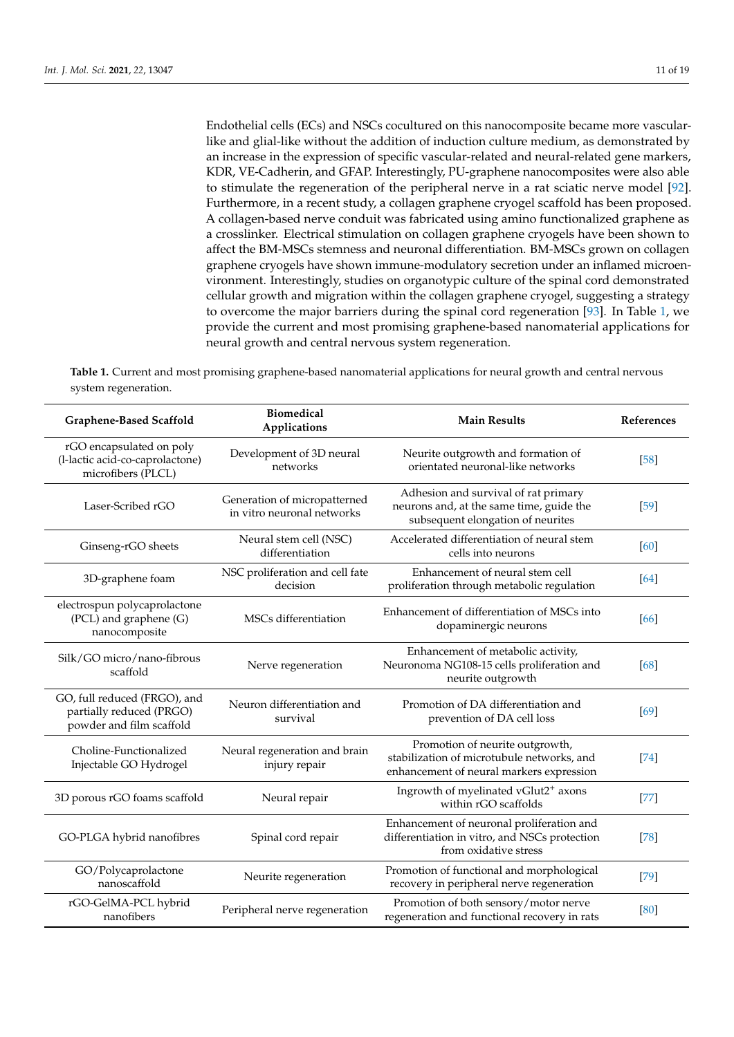Endothelial cells (ECs) and NSCs cocultured on this nanocomposite became more vascularlike and glial-like without the addition of induction culture medium, as demonstrated by an increase in the expression of specific vascular-related and neural-related gene markers, KDR, VE-Cadherin, and GFAP. Interestingly, PU-graphene nanocomposites were also able to stimulate the regeneration of the peripheral nerve in a rat sciatic nerve model [\[92\]](#page-17-20). Furthermore, in a recent study, a collagen graphene cryogel scaffold has been proposed. A collagen-based nerve conduit was fabricated using amino functionalized graphene as a crosslinker. Electrical stimulation on collagen graphene cryogels have been shown to affect the BM-MSCs stemness and neuronal differentiation. BM-MSCs grown on collagen graphene cryogels have shown immune-modulatory secretion under an inflamed microenvironment. Interestingly, studies on organotypic culture of the spinal cord demonstrated cellular growth and migration within the collagen graphene cryogel, suggesting a strategy to overcome the major barriers during the spinal cord regeneration [\[93\]](#page-17-21). In Table [1,](#page-10-0) we provide the current and most promising graphene-based nanomaterial applications for neural growth and central nervous system regeneration.

<span id="page-10-0"></span>**Table 1.** Current and most promising graphene-based nanomaterial applications for neural growth and central nervous system regeneration.

| Graphene-Based Scaffold                                                              | <b>Biomedical</b><br>Applications                          | <b>Main Results</b>                                                                                                       | References |
|--------------------------------------------------------------------------------------|------------------------------------------------------------|---------------------------------------------------------------------------------------------------------------------------|------------|
| rGO encapsulated on poly<br>(l-lactic acid-co-caprolactone)<br>microfibers (PLCL)    | Development of 3D neural<br>networks                       | Neurite outgrowth and formation of<br>orientated neuronal-like networks                                                   | $[58]$     |
| Laser-Scribed rGO                                                                    | Generation of micropatterned<br>in vitro neuronal networks | Adhesion and survival of rat primary<br>neurons and, at the same time, guide the<br>subsequent elongation of neurites     | $[59]$     |
| Ginseng-rGO sheets                                                                   | Neural stem cell (NSC)<br>differentiation                  | Accelerated differentiation of neural stem<br>cells into neurons                                                          | [60]       |
| 3D-graphene foam                                                                     | NSC proliferation and cell fate<br>decision                | Enhancement of neural stem cell<br>proliferation through metabolic regulation                                             | [64]       |
| electrospun polycaprolactone<br>(PCL) and graphene (G)<br>nanocomposite              | MSCs differentiation                                       | Enhancement of differentiation of MSCs into<br>dopaminergic neurons                                                       | [66]       |
| Silk/GO micro/nano-fibrous<br>scaffold                                               | Nerve regeneration                                         | Enhancement of metabolic activity,<br>Neuronoma NG108-15 cells proliferation and<br>neurite outgrowth                     | [68]       |
| GO, full reduced (FRGO), and<br>partially reduced (PRGO)<br>powder and film scaffold | Neuron differentiation and<br>survival                     | Promotion of DA differentiation and<br>prevention of DA cell loss                                                         | [69]       |
| Choline-Functionalized<br>Injectable GO Hydrogel                                     | Neural regeneration and brain<br>injury repair             | Promotion of neurite outgrowth,<br>stabilization of microtubule networks, and<br>enhancement of neural markers expression | $[74]$     |
| 3D porous rGO foams scaffold                                                         | Neural repair                                              | Ingrowth of myelinated vGlut2 <sup>+</sup> axons<br>within rGO scaffolds                                                  | $[77]$     |
| GO-PLGA hybrid nanofibres                                                            | Spinal cord repair                                         | Enhancement of neuronal proliferation and<br>differentiation in vitro, and NSCs protection<br>from oxidative stress       | $[78]$     |
| GO/Polycaprolactone<br>nanoscaffold                                                  | Neurite regeneration                                       | Promotion of functional and morphological<br>recovery in peripheral nerve regeneration                                    | $[79]$     |
| rGO-GelMA-PCL hybrid<br>nanofibers                                                   | Peripheral nerve regeneration                              | Promotion of both sensory/motor nerve<br>regeneration and functional recovery in rats                                     | [80]       |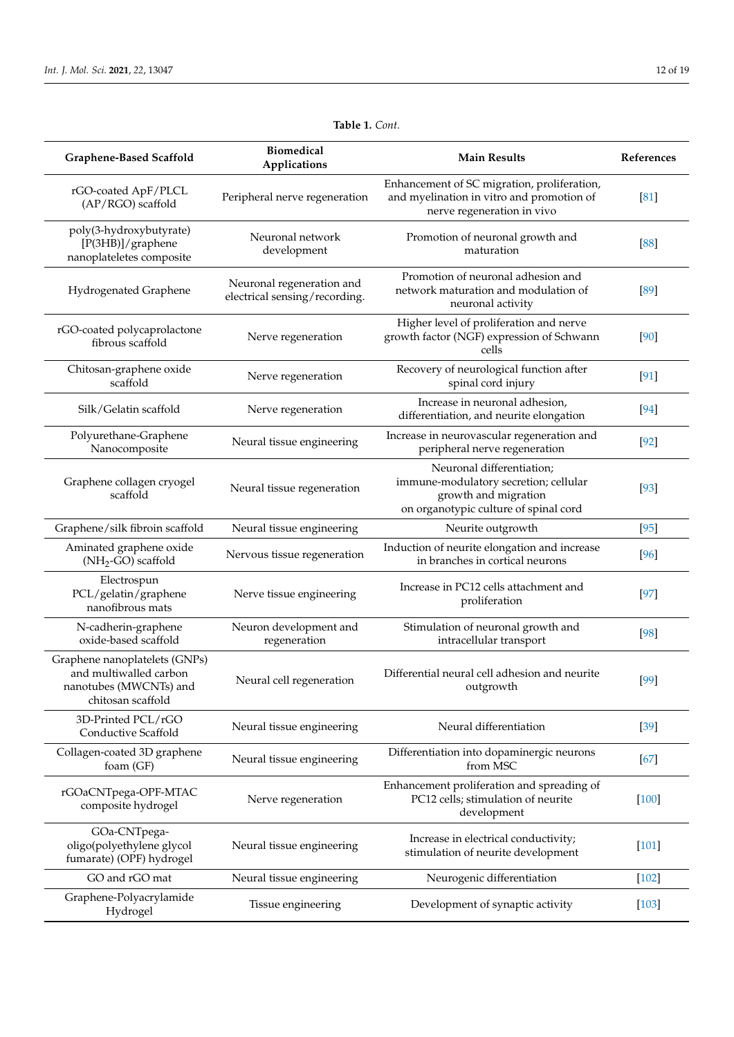| Graphene-Based Scaffold                                                                                | <b>Biomedical</b><br>Applications                          | <b>Main Results</b>                                                                                                                 | References |
|--------------------------------------------------------------------------------------------------------|------------------------------------------------------------|-------------------------------------------------------------------------------------------------------------------------------------|------------|
| rGO-coated ApF/PLCL<br>(AP/RGO) scaffold                                                               | Peripheral nerve regeneration                              | Enhancement of SC migration, proliferation,<br>and myelination in vitro and promotion of<br>nerve regeneration in vivo              | [81]       |
| poly(3-hydroxybutyrate)<br>[P(3HB)]/graphene<br>nanoplateletes composite                               | Neuronal network<br>development                            | Promotion of neuronal growth and<br>maturation                                                                                      | [88]       |
| Hydrogenated Graphene                                                                                  | Neuronal regeneration and<br>electrical sensing/recording. | Promotion of neuronal adhesion and<br>network maturation and modulation of<br>neuronal activity                                     | [89]       |
| rGO-coated polycaprolactone<br>fibrous scaffold                                                        | Nerve regeneration                                         | Higher level of proliferation and nerve<br>growth factor (NGF) expression of Schwann<br>cells                                       | [90]       |
| Chitosan-graphene oxide<br>scaffold                                                                    | Nerve regeneration                                         | Recovery of neurological function after<br>spinal cord injury                                                                       | [91]       |
| Silk/Gelatin scaffold                                                                                  | Nerve regeneration                                         | Increase in neuronal adhesion,<br>differentiation, and neurite elongation                                                           | $[94]$     |
| Polyurethane-Graphene<br>Nanocomposite                                                                 | Neural tissue engineering                                  | Increase in neurovascular regeneration and<br>peripheral nerve regeneration                                                         | $[92]$     |
| Graphene collagen cryogel<br>scaffold                                                                  | Neural tissue regeneration                                 | Neuronal differentiation;<br>immune-modulatory secretion; cellular<br>growth and migration<br>on organotypic culture of spinal cord | $[93]$     |
| Graphene/silk fibroin scaffold                                                                         | Neural tissue engineering                                  | Neurite outgrowth                                                                                                                   | $[95]$     |
| Aminated graphene oxide<br>(NH <sub>2</sub> -GO) scaffold                                              | Nervous tissue regeneration                                | Induction of neurite elongation and increase<br>in branches in cortical neurons                                                     | $[96]$     |
| Electrospun<br>PCL/gelatin/graphene<br>nanofibrous mats                                                | Nerve tissue engineering                                   | Increase in PC12 cells attachment and<br>proliferation                                                                              | $[97]$     |
| N-cadherin-graphene<br>oxide-based scaffold                                                            | Neuron development and<br>regeneration                     | Stimulation of neuronal growth and<br>intracellular transport                                                                       | $[98]$     |
| Graphene nanoplatelets (GNPs)<br>and multiwalled carbon<br>nanotubes (MWCNTs) and<br>chitosan scaffold | Neural cell regeneration                                   | Differential neural cell adhesion and neurite<br>outgrowth                                                                          | [99]       |
| 3D-Printed PCL/rGO<br>Conductive Scaffold                                                              | Neural tissue engineering                                  | Neural differentiation                                                                                                              | $[39]$     |
| Collagen-coated 3D graphene<br>foam (GF)                                                               | Neural tissue engineering                                  | Differentiation into dopaminergic neurons<br>from MSC                                                                               | [67]       |
| rGOaCNTpega-OPF-MTAC<br>composite hydrogel                                                             | Nerve regeneration                                         | Enhancement proliferation and spreading of<br>PC12 cells; stimulation of neurite<br>development                                     | $[100]$    |
| GOa-CNTpega-<br>oligo(polyethylene glycol<br>fumarate) (OPF) hydrogel                                  | Neural tissue engineering                                  | Increase in electrical conductivity;<br>stimulation of neurite development                                                          | $[101]$    |
| GO and rGO mat                                                                                         | Neural tissue engineering                                  | Neurogenic differentiation                                                                                                          | $[102]$    |
| Graphene-Polyacrylamide<br>Hydrogel                                                                    | Tissue engineering                                         | Development of synaptic activity                                                                                                    | $[103]$    |

# **Table 1.** *Cont.*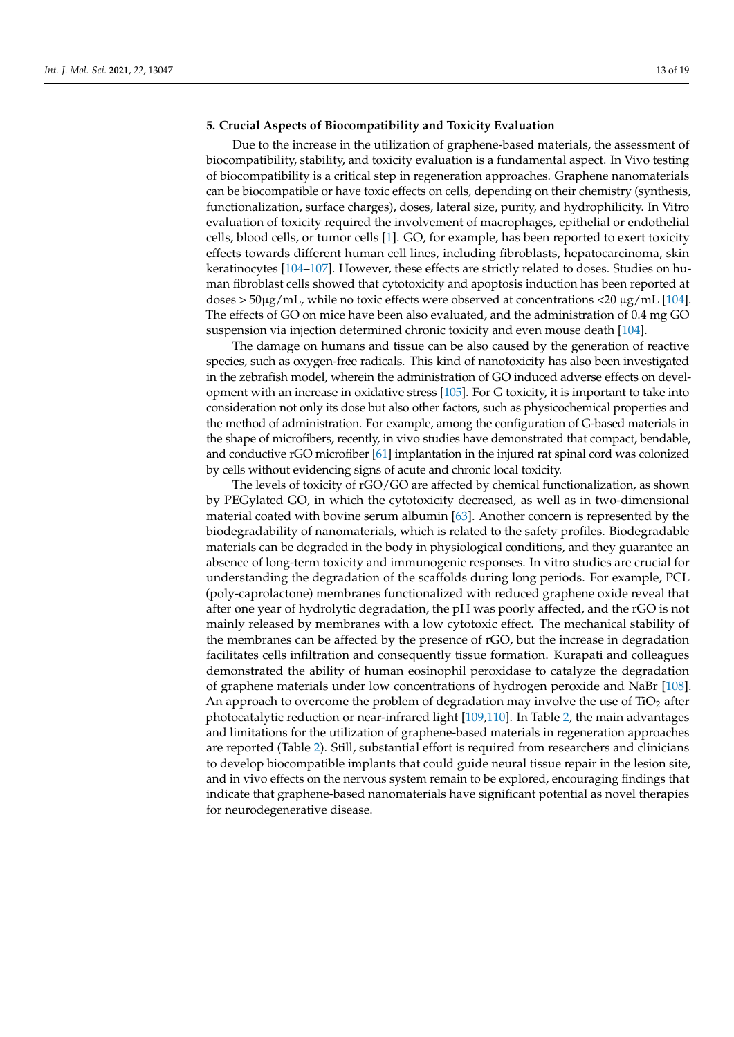# **5. Crucial Aspects of Biocompatibility and Toxicity Evaluation**

Due to the increase in the utilization of graphene-based materials, the assessment of biocompatibility, stability, and toxicity evaluation is a fundamental aspect. In Vivo testing of biocompatibility is a critical step in regeneration approaches. Graphene nanomaterials can be biocompatible or have toxic effects on cells, depending on their chemistry (synthesis, functionalization, surface charges), doses, lateral size, purity, and hydrophilicity. In Vitro evaluation of toxicity required the involvement of macrophages, epithelial or endothelial cells, blood cells, or tumor cells [\[1\]](#page-14-0). GO, for example, has been reported to exert toxicity effects towards different human cell lines, including fibroblasts, hepatocarcinoma, skin keratinocytes [\[104](#page-18-10)[–107\]](#page-18-11). However, these effects are strictly related to doses. Studies on human fibroblast cells showed that cytotoxicity and apoptosis induction has been reported at doses  $>$  50 $\mu$ g/mL, while no toxic effects were observed at concentrations <20  $\mu$ g/mL [\[104\]](#page-18-10). The effects of GO on mice have been also evaluated, and the administration of 0.4 mg GO suspension via injection determined chronic toxicity and even mouse death [\[104\]](#page-18-10).

The damage on humans and tissue can be also caused by the generation of reactive species, such as oxygen-free radicals. This kind of nanotoxicity has also been investigated in the zebrafish model, wherein the administration of GO induced adverse effects on development with an increase in oxidative stress [\[105\]](#page-18-12). For G toxicity, it is important to take into consideration not only its dose but also other factors, such as physicochemical properties and the method of administration. For example, among the configuration of G-based materials in the shape of microfibers, recently, in vivo studies have demonstrated that compact, bendable, and conductive rGO microfiber [\[61\]](#page-16-15) implantation in the injured rat spinal cord was colonized by cells without evidencing signs of acute and chronic local toxicity.

The levels of toxicity of rGO/GO are affected by chemical functionalization, as shown by PEGylated GO, in which the cytotoxicity decreased, as well as in two-dimensional material coated with bovine serum albumin [\[63\]](#page-16-17). Another concern is represented by the biodegradability of nanomaterials, which is related to the safety profiles. Biodegradable materials can be degraded in the body in physiological conditions, and they guarantee an absence of long-term toxicity and immunogenic responses. In vitro studies are crucial for understanding the degradation of the scaffolds during long periods. For example, PCL (poly-caprolactone) membranes functionalized with reduced graphene oxide reveal that after one year of hydrolytic degradation, the pH was poorly affected, and the rGO is not mainly released by membranes with a low cytotoxic effect. The mechanical stability of the membranes can be affected by the presence of rGO, but the increase in degradation facilitates cells infiltration and consequently tissue formation. Kurapati and colleagues demonstrated the ability of human eosinophil peroxidase to catalyze the degradation of graphene materials under low concentrations of hydrogen peroxide and NaBr [\[108\]](#page-18-13). An approach to overcome the problem of degradation may involve the use of  $TiO<sub>2</sub>$  after photocatalytic reduction or near-infrared light [\[109,](#page-18-14)[110\]](#page-18-15). In Table [2,](#page-13-0) the main advantages and limitations for the utilization of graphene-based materials in regeneration approaches are reported (Table [2\)](#page-13-0). Still, substantial effort is required from researchers and clinicians to develop biocompatible implants that could guide neural tissue repair in the lesion site, and in vivo effects on the nervous system remain to be explored, encouraging findings that indicate that graphene-based nanomaterials have significant potential as novel therapies for neurodegenerative disease.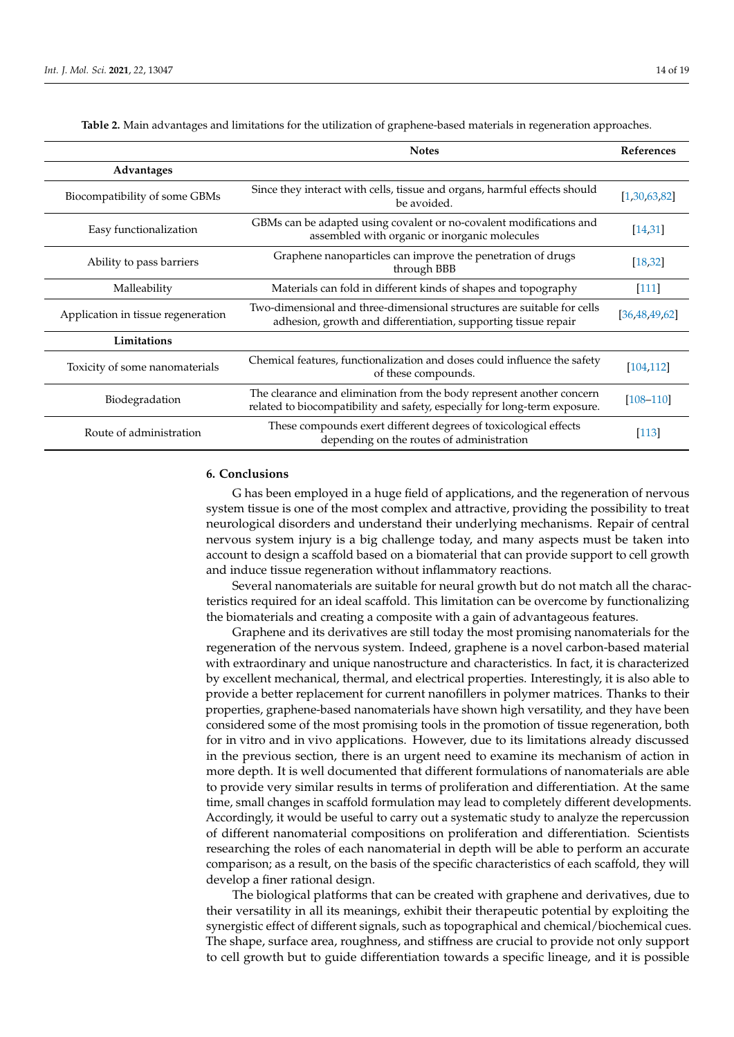<span id="page-13-0"></span>

|                                    | <b>Notes</b>                                                                                                                                        | References       |
|------------------------------------|-----------------------------------------------------------------------------------------------------------------------------------------------------|------------------|
| Advantages                         |                                                                                                                                                     |                  |
| Biocompatibility of some GBMs      | Since they interact with cells, tissue and organs, harmful effects should<br>be avoided.                                                            | [1,30,63,82]     |
| Easy functionalization             | GBMs can be adapted using covalent or no-covalent modifications and<br>assembled with organic or inorganic molecules                                | [14, 31]         |
| Ability to pass barriers           | Graphene nanoparticles can improve the penetration of drugs<br>through BBB                                                                          | [18, 32]         |
| Malleability                       | Materials can fold in different kinds of shapes and topography                                                                                      | $[111]$          |
| Application in tissue regeneration | Two-dimensional and three-dimensional structures are suitable for cells<br>adhesion, growth and differentiation, supporting tissue repair           | [36, 48, 49, 62] |
| Limitations                        |                                                                                                                                                     |                  |
| Toxicity of some nanomaterials     | Chemical features, functionalization and doses could influence the safety<br>of these compounds.                                                    | [104, 112]       |
| Biodegradation                     | The clearance and elimination from the body represent another concern<br>related to biocompatibility and safety, especially for long-term exposure. | $[108 - 110]$    |
| Route of administration            | These compounds exert different degrees of toxicological effects<br>depending on the routes of administration                                       | $[113]$          |

**Table 2.** Main advantages and limitations for the utilization of graphene-based materials in regeneration approaches.

# **6. Conclusions**

G has been employed in a huge field of applications, and the regeneration of nervous system tissue is one of the most complex and attractive, providing the possibility to treat neurological disorders and understand their underlying mechanisms. Repair of central nervous system injury is a big challenge today, and many aspects must be taken into account to design a scaffold based on a biomaterial that can provide support to cell growth and induce tissue regeneration without inflammatory reactions.

Several nanomaterials are suitable for neural growth but do not match all the characteristics required for an ideal scaffold. This limitation can be overcome by functionalizing the biomaterials and creating a composite with a gain of advantageous features.

Graphene and its derivatives are still today the most promising nanomaterials for the regeneration of the nervous system. Indeed, graphene is a novel carbon-based material with extraordinary and unique nanostructure and characteristics. In fact, it is characterized by excellent mechanical, thermal, and electrical properties. Interestingly, it is also able to provide a better replacement for current nanofillers in polymer matrices. Thanks to their properties, graphene-based nanomaterials have shown high versatility, and they have been considered some of the most promising tools in the promotion of tissue regeneration, both for in vitro and in vivo applications. However, due to its limitations already discussed in the previous section, there is an urgent need to examine its mechanism of action in more depth. It is well documented that different formulations of nanomaterials are able to provide very similar results in terms of proliferation and differentiation. At the same time, small changes in scaffold formulation may lead to completely different developments. Accordingly, it would be useful to carry out a systematic study to analyze the repercussion of different nanomaterial compositions on proliferation and differentiation. Scientists researching the roles of each nanomaterial in depth will be able to perform an accurate comparison; as a result, on the basis of the specific characteristics of each scaffold, they will develop a finer rational design.

The biological platforms that can be created with graphene and derivatives, due to their versatility in all its meanings, exhibit their therapeutic potential by exploiting the synergistic effect of different signals, such as topographical and chemical/biochemical cues. The shape, surface area, roughness, and stiffness are crucial to provide not only support to cell growth but to guide differentiation towards a specific lineage, and it is possible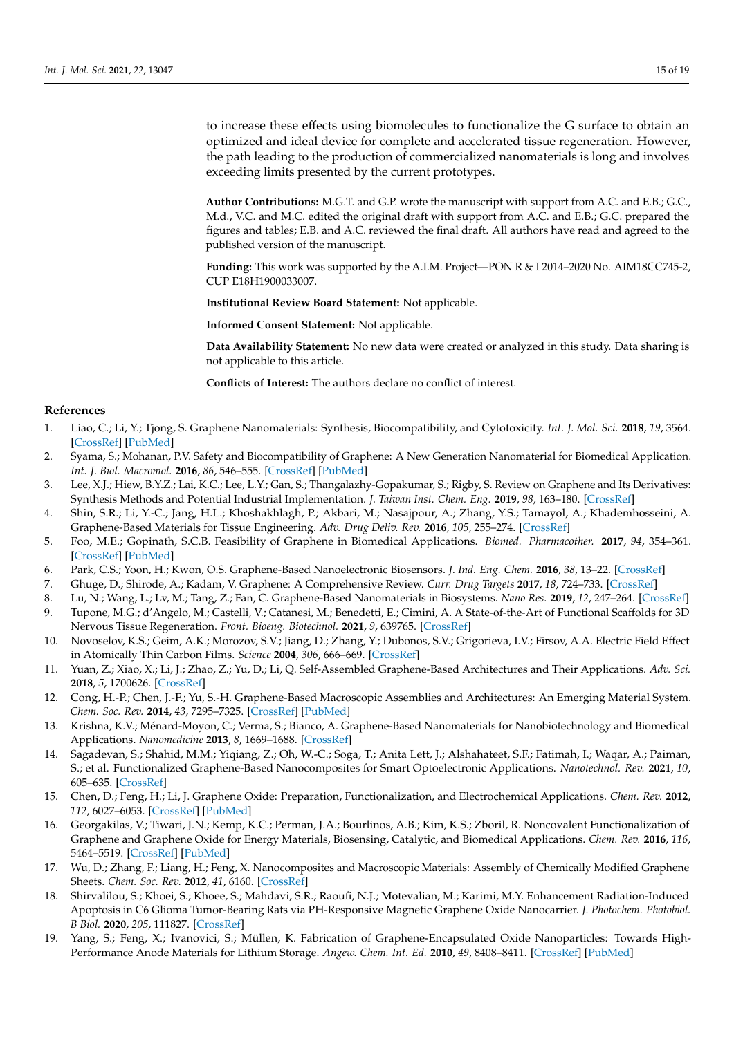to increase these effects using biomolecules to functionalize the G surface to obtain an optimized and ideal device for complete and accelerated tissue regeneration. However, the path leading to the production of commercialized nanomaterials is long and involves exceeding limits presented by the current prototypes.

**Author Contributions:** M.G.T. and G.P. wrote the manuscript with support from A.C. and E.B.; G.C., M.d., V.C. and M.C. edited the original draft with support from A.C. and E.B.; G.C. prepared the figures and tables; E.B. and A.C. reviewed the final draft. All authors have read and agreed to the published version of the manuscript.

**Funding:** This work was supported by the A.I.M. Project—PON R & I 2014–2020 No. AIM18CC745-2, CUP E18H1900033007.

**Institutional Review Board Statement:** Not applicable.

**Informed Consent Statement:** Not applicable.

**Data Availability Statement:** No new data were created or analyzed in this study. Data sharing is not applicable to this article.

**Conflicts of Interest:** The authors declare no conflict of interest.

# **References**

- <span id="page-14-0"></span>1. Liao, C.; Li, Y.; Tjong, S. Graphene Nanomaterials: Synthesis, Biocompatibility, and Cytotoxicity. *Int. J. Mol. Sci.* **2018**, *19*, 3564. [\[CrossRef\]](http://doi.org/10.3390/ijms19113564) [\[PubMed\]](http://www.ncbi.nlm.nih.gov/pubmed/30424535)
- <span id="page-14-1"></span>2. Syama, S.; Mohanan, P.V. Safety and Biocompatibility of Graphene: A New Generation Nanomaterial for Biomedical Application. *Int. J. Biol. Macromol.* **2016**, *86*, 546–555. [\[CrossRef\]](http://doi.org/10.1016/j.ijbiomac.2016.01.116) [\[PubMed\]](http://www.ncbi.nlm.nih.gov/pubmed/26851208)
- <span id="page-14-2"></span>3. Lee, X.J.; Hiew, B.Y.Z.; Lai, K.C.; Lee, L.Y.; Gan, S.; Thangalazhy-Gopakumar, S.; Rigby, S. Review on Graphene and Its Derivatives: Synthesis Methods and Potential Industrial Implementation. *J. Taiwan Inst. Chem. Eng.* **2019**, *98*, 163–180. [\[CrossRef\]](http://doi.org/10.1016/j.jtice.2018.10.028)
- <span id="page-14-3"></span>4. Shin, S.R.; Li, Y.-C.; Jang, H.L.; Khoshakhlagh, P.; Akbari, M.; Nasajpour, A.; Zhang, Y.S.; Tamayol, A.; Khademhosseini, A. Graphene-Based Materials for Tissue Engineering. *Adv. Drug Deliv. Rev.* **2016**, *105*, 255–274. [\[CrossRef\]](http://doi.org/10.1016/j.addr.2016.03.007)
- <span id="page-14-4"></span>5. Foo, M.E.; Gopinath, S.C.B. Feasibility of Graphene in Biomedical Applications. *Biomed. Pharmacother.* **2017**, *94*, 354–361. [\[CrossRef\]](http://doi.org/10.1016/j.biopha.2017.07.122) [\[PubMed\]](http://www.ncbi.nlm.nih.gov/pubmed/28772213)
- <span id="page-14-5"></span>6. Park, C.S.; Yoon, H.; Kwon, O.S. Graphene-Based Nanoelectronic Biosensors. *J. Ind. Eng. Chem.* **2016**, *38*, 13–22. [\[CrossRef\]](http://doi.org/10.1016/j.jiec.2016.04.021)
- <span id="page-14-6"></span>7. Ghuge, D.; Shirode, A.; Kadam, V. Graphene: A Comprehensive Review. *Curr. Drug Targets* **2017**, *18*, 724–733. [\[CrossRef\]](http://doi.org/10.2174/1389450117666160709023425)
- <span id="page-14-7"></span>8. Lu, N.; Wang, L.; Lv, M.; Tang, Z.; Fan, C. Graphene-Based Nanomaterials in Biosystems. *Nano Res.* **2019**, *12*, 247–264. [\[CrossRef\]](http://doi.org/10.1007/s12274-018-2209-3)
- <span id="page-14-8"></span>9. Tupone, M.G.; d'Angelo, M.; Castelli, V.; Catanesi, M.; Benedetti, E.; Cimini, A. A State-of-the-Art of Functional Scaffolds for 3D Nervous Tissue Regeneration. *Front. Bioeng. Biotechnol.* **2021**, *9*, 639765. [\[CrossRef\]](http://doi.org/10.3389/fbioe.2021.639765)
- <span id="page-14-9"></span>10. Novoselov, K.S.; Geim, A.K.; Morozov, S.V.; Jiang, D.; Zhang, Y.; Dubonos, S.V.; Grigorieva, I.V.; Firsov, A.A. Electric Field Effect in Atomically Thin Carbon Films. *Science* **2004**, *306*, 666–669. [\[CrossRef\]](http://doi.org/10.1126/science.1102896)
- <span id="page-14-10"></span>11. Yuan, Z.; Xiao, X.; Li, J.; Zhao, Z.; Yu, D.; Li, Q. Self-Assembled Graphene-Based Architectures and Their Applications. *Adv. Sci.* **2018**, *5*, 1700626. [\[CrossRef\]](http://doi.org/10.1002/advs.201700626)
- <span id="page-14-11"></span>12. Cong, H.-P.; Chen, J.-F.; Yu, S.-H. Graphene-Based Macroscopic Assemblies and Architectures: An Emerging Material System. *Chem. Soc. Rev.* **2014**, *43*, 7295–7325. [\[CrossRef\]](http://doi.org/10.1039/C4CS00181H) [\[PubMed\]](http://www.ncbi.nlm.nih.gov/pubmed/25065466)
- <span id="page-14-12"></span>13. Krishna, K.V.; Ménard-Moyon, C.; Verma, S.; Bianco, A. Graphene-Based Nanomaterials for Nanobiotechnology and Biomedical Applications. *Nanomedicine* **2013**, *8*, 1669–1688. [\[CrossRef\]](http://doi.org/10.2217/nnm.13.140)
- <span id="page-14-13"></span>14. Sagadevan, S.; Shahid, M.M.; Yiqiang, Z.; Oh, W.-C.; Soga, T.; Anita Lett, J.; Alshahateet, S.F.; Fatimah, I.; Waqar, A.; Paiman, S.; et al. Functionalized Graphene-Based Nanocomposites for Smart Optoelectronic Applications. *Nanotechnol. Rev.* **2021**, *10*, 605–635. [\[CrossRef\]](http://doi.org/10.1515/ntrev-2021-0043)
- <span id="page-14-14"></span>15. Chen, D.; Feng, H.; Li, J. Graphene Oxide: Preparation, Functionalization, and Electrochemical Applications. *Chem. Rev.* **2012**, *112*, 6027–6053. [\[CrossRef\]](http://doi.org/10.1021/cr300115g) [\[PubMed\]](http://www.ncbi.nlm.nih.gov/pubmed/22889102)
- <span id="page-14-15"></span>16. Georgakilas, V.; Tiwari, J.N.; Kemp, K.C.; Perman, J.A.; Bourlinos, A.B.; Kim, K.S.; Zboril, R. Noncovalent Functionalization of Graphene and Graphene Oxide for Energy Materials, Biosensing, Catalytic, and Biomedical Applications. *Chem. Rev.* **2016**, *116*, 5464–5519. [\[CrossRef\]](http://doi.org/10.1021/acs.chemrev.5b00620) [\[PubMed\]](http://www.ncbi.nlm.nih.gov/pubmed/27033639)
- <span id="page-14-16"></span>17. Wu, D.; Zhang, F.; Liang, H.; Feng, X. Nanocomposites and Macroscopic Materials: Assembly of Chemically Modified Graphene Sheets. *Chem. Soc. Rev.* **2012**, *41*, 6160. [\[CrossRef\]](http://doi.org/10.1039/c2cs35179j)
- <span id="page-14-17"></span>18. Shirvalilou, S.; Khoei, S.; Khoee, S.; Mahdavi, S.R.; Raoufi, N.J.; Motevalian, M.; Karimi, M.Y. Enhancement Radiation-Induced Apoptosis in C6 Glioma Tumor-Bearing Rats via PH-Responsive Magnetic Graphene Oxide Nanocarrier. *J. Photochem. Photobiol. B Biol.* **2020**, *205*, 111827. [\[CrossRef\]](http://doi.org/10.1016/j.jphotobiol.2020.111827)
- <span id="page-14-18"></span>19. Yang, S.; Feng, X.; Ivanovici, S.; Müllen, K. Fabrication of Graphene-Encapsulated Oxide Nanoparticles: Towards High-Performance Anode Materials for Lithium Storage. *Angew. Chem. Int. Ed.* **2010**, *49*, 8408–8411. [\[CrossRef\]](http://doi.org/10.1002/anie.201003485) [\[PubMed\]](http://www.ncbi.nlm.nih.gov/pubmed/20836109)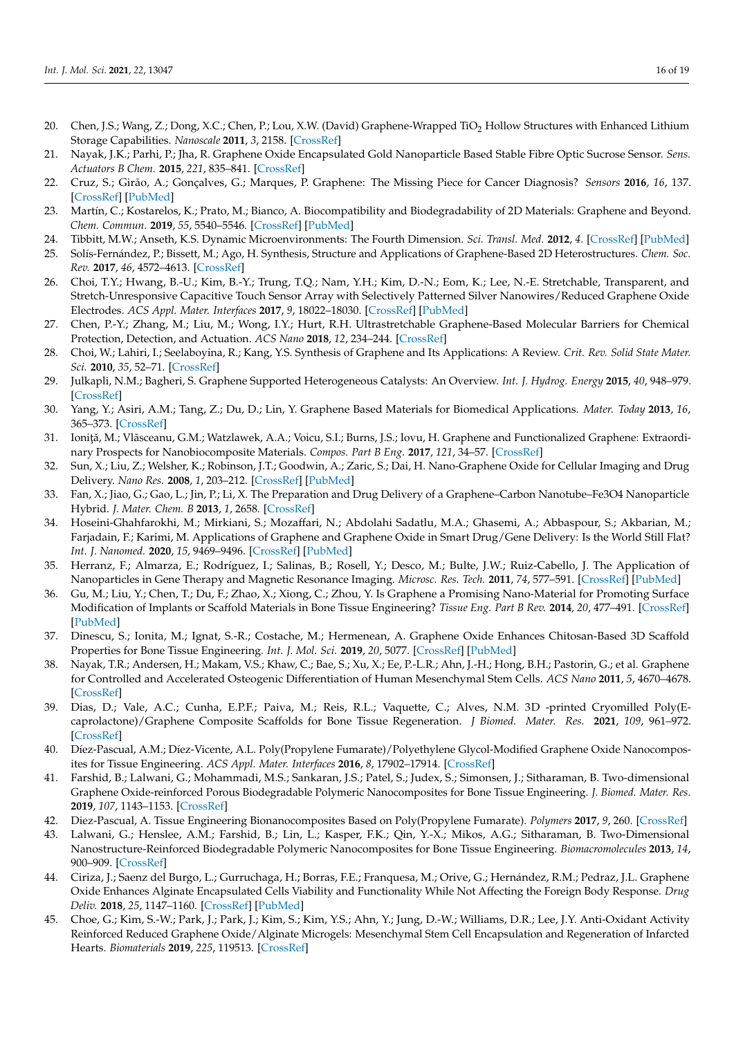- <span id="page-15-0"></span>20. Chen, J.S.; Wang, Z.; Dong, X.C.; Chen, P.; Lou, X.W. (David) Graphene-Wrapped TiO<sub>2</sub> Hollow Structures with Enhanced Lithium Storage Capabilities. *Nanoscale* **2011**, *3*, 2158. [\[CrossRef\]](http://doi.org/10.1039/c1nr10162e)
- <span id="page-15-1"></span>21. Nayak, J.K.; Parhi, P.; Jha, R. Graphene Oxide Encapsulated Gold Nanoparticle Based Stable Fibre Optic Sucrose Sensor. *Sens. Actuators B Chem.* **2015**, *221*, 835–841. [\[CrossRef\]](http://doi.org/10.1016/j.snb.2015.06.152)
- <span id="page-15-2"></span>22. Cruz, S.; Girão, A.; Gonçalves, G.; Marques, P. Graphene: The Missing Piece for Cancer Diagnosis? *Sensors* **2016**, *16*, 137. [\[CrossRef\]](http://doi.org/10.3390/s16010137) [\[PubMed\]](http://www.ncbi.nlm.nih.gov/pubmed/26805845)
- <span id="page-15-3"></span>23. Martín, C.; Kostarelos, K.; Prato, M.; Bianco, A. Biocompatibility and Biodegradability of 2D Materials: Graphene and Beyond. *Chem. Commun.* **2019**, *55*, 5540–5546. [\[CrossRef\]](http://doi.org/10.1039/C9CC01205B) [\[PubMed\]](http://www.ncbi.nlm.nih.gov/pubmed/31033990)
- <span id="page-15-4"></span>24. Tibbitt, M.W.; Anseth, K.S. Dynamic Microenvironments: The Fourth Dimension. *Sci. Transl. Med.* **2012**, *4*. [\[CrossRef\]](http://doi.org/10.1126/scitranslmed.3004804) [\[PubMed\]](http://www.ncbi.nlm.nih.gov/pubmed/23152326)
- <span id="page-15-5"></span>25. Solís-Fernández, P.; Bissett, M.; Ago, H. Synthesis, Structure and Applications of Graphene-Based 2D Heterostructures. *Chem. Soc. Rev.* **2017**, *46*, 4572–4613. [\[CrossRef\]](http://doi.org/10.1039/C7CS00160F)
- <span id="page-15-6"></span>26. Choi, T.Y.; Hwang, B.-U.; Kim, B.-Y.; Trung, T.Q.; Nam, Y.H.; Kim, D.-N.; Eom, K.; Lee, N.-E. Stretchable, Transparent, and Stretch-Unresponsive Capacitive Touch Sensor Array with Selectively Patterned Silver Nanowires/Reduced Graphene Oxide Electrodes. *ACS Appl. Mater. Interfaces* **2017**, *9*, 18022–18030. [\[CrossRef\]](http://doi.org/10.1021/acsami.6b16716) [\[PubMed\]](http://www.ncbi.nlm.nih.gov/pubmed/28485567)
- <span id="page-15-7"></span>27. Chen, P.-Y.; Zhang, M.; Liu, M.; Wong, I.Y.; Hurt, R.H. Ultrastretchable Graphene-Based Molecular Barriers for Chemical Protection, Detection, and Actuation. *ACS Nano* **2018**, *12*, 234–244. [\[CrossRef\]](http://doi.org/10.1021/acsnano.7b05961)
- <span id="page-15-8"></span>28. Choi, W.; Lahiri, I.; Seelaboyina, R.; Kang, Y.S. Synthesis of Graphene and Its Applications: A Review. *Crit. Rev. Solid State Mater. Sci.* **2010**, *35*, 52–71. [\[CrossRef\]](http://doi.org/10.1080/10408430903505036)
- <span id="page-15-9"></span>29. Julkapli, N.M.; Bagheri, S. Graphene Supported Heterogeneous Catalysts: An Overview. *Int. J. Hydrog. Energy* **2015**, *40*, 948–979. [\[CrossRef\]](http://doi.org/10.1016/j.ijhydene.2014.10.129)
- <span id="page-15-10"></span>30. Yang, Y.; Asiri, A.M.; Tang, Z.; Du, D.; Lin, Y. Graphene Based Materials for Biomedical Applications. *Mater. Today* **2013**, *16*, 365–373. [\[CrossRef\]](http://doi.org/10.1016/j.mattod.2013.09.004)
- <span id="page-15-11"></span>31. Ioniță, M.; Vlăsceanu, G.M.; Watzlawek, A.A.; Voicu, S.I.; Burns, J.S.; Iovu, H. Graphene and Functionalized Graphene: Extraordinary Prospects for Nanobiocomposite Materials. *Compos. Part B Eng.* **2017**, *121*, 34–57. [\[CrossRef\]](http://doi.org/10.1016/j.compositesb.2017.03.031)
- <span id="page-15-12"></span>32. Sun, X.; Liu, Z.; Welsher, K.; Robinson, J.T.; Goodwin, A.; Zaric, S.; Dai, H. Nano-Graphene Oxide for Cellular Imaging and Drug Delivery. *Nano Res.* **2008**, *1*, 203–212. [\[CrossRef\]](http://doi.org/10.1007/s12274-008-8021-8) [\[PubMed\]](http://www.ncbi.nlm.nih.gov/pubmed/20216934)
- <span id="page-15-13"></span>33. Fan, X.; Jiao, G.; Gao, L.; Jin, P.; Li, X. The Preparation and Drug Delivery of a Graphene–Carbon Nanotube–Fe3O4 Nanoparticle Hybrid. *J. Mater. Chem. B* **2013**, *1*, 2658. [\[CrossRef\]](http://doi.org/10.1039/c3tb00493g)
- <span id="page-15-14"></span>34. Hoseini-Ghahfarokhi, M.; Mirkiani, S.; Mozaffari, N.; Abdolahi Sadatlu, M.A.; Ghasemi, A.; Abbaspour, S.; Akbarian, M.; Farjadain, F.; Karimi, M. Applications of Graphene and Graphene Oxide in Smart Drug/Gene Delivery: Is the World Still Flat? *Int. J. Nanomed.* **2020**, *15*, 9469–9496. [\[CrossRef\]](http://doi.org/10.2147/IJN.S265876) [\[PubMed\]](http://www.ncbi.nlm.nih.gov/pubmed/33281443)
- <span id="page-15-15"></span>35. Herranz, F.; Almarza, E.; Rodríguez, I.; Salinas, B.; Rosell, Y.; Desco, M.; Bulte, J.W.; Ruiz-Cabello, J. The Application of Nanoparticles in Gene Therapy and Magnetic Resonance Imaging. *Microsc. Res. Tech.* **2011**, *74*, 577–591. [\[CrossRef\]](http://doi.org/10.1002/jemt.20992) [\[PubMed\]](http://www.ncbi.nlm.nih.gov/pubmed/21484943)
- <span id="page-15-16"></span>36. Gu, M.; Liu, Y.; Chen, T.; Du, F.; Zhao, X.; Xiong, C.; Zhou, Y. Is Graphene a Promising Nano-Material for Promoting Surface Modification of Implants or Scaffold Materials in Bone Tissue Engineering? *Tissue Eng. Part B Rev.* **2014**, *20*, 477–491. [\[CrossRef\]](http://doi.org/10.1089/ten.teb.2013.0638) [\[PubMed\]](http://www.ncbi.nlm.nih.gov/pubmed/24447041)
- <span id="page-15-17"></span>37. Dinescu, S.; Ionita, M.; Ignat, S.-R.; Costache, M.; Hermenean, A. Graphene Oxide Enhances Chitosan-Based 3D Scaffold Properties for Bone Tissue Engineering. *Int. J. Mol. Sci.* **2019**, *20*, 5077. [\[CrossRef\]](http://doi.org/10.3390/ijms20205077) [\[PubMed\]](http://www.ncbi.nlm.nih.gov/pubmed/31614903)
- <span id="page-15-18"></span>38. Nayak, T.R.; Andersen, H.; Makam, V.S.; Khaw, C.; Bae, S.; Xu, X.; Ee, P.-L.R.; Ahn, J.-H.; Hong, B.H.; Pastorin, G.; et al. Graphene for Controlled and Accelerated Osteogenic Differentiation of Human Mesenchymal Stem Cells. *ACS Nano* **2011**, *5*, 4670–4678. [\[CrossRef\]](http://doi.org/10.1021/nn200500h)
- <span id="page-15-19"></span>39. Dias, D.; Vale, A.C.; Cunha, E.P.F.; Paiva, M.; Reis, R.L.; Vaquette, C.; Alves, N.M. 3D -printed Cryomilled Poly(Ecaprolactone)/Graphene Composite Scaffolds for Bone Tissue Regeneration. *J Biomed. Mater. Res.* **2021**, *109*, 961–972. [\[CrossRef\]](http://doi.org/10.1002/jbm.b.34761)
- <span id="page-15-20"></span>40. Díez-Pascual, A.M.; Díez-Vicente, A.L. Poly(Propylene Fumarate)/Polyethylene Glycol-Modified Graphene Oxide Nanocomposites for Tissue Engineering. *ACS Appl. Mater. Interfaces* **2016**, *8*, 17902–17914. [\[CrossRef\]](http://doi.org/10.1021/acsami.6b05635)
- 41. Farshid, B.; Lalwani, G.; Mohammadi, M.S.; Sankaran, J.S.; Patel, S.; Judex, S.; Simonsen, J.; Sitharaman, B. Two-dimensional Graphene Oxide-reinforced Porous Biodegradable Polymeric Nanocomposites for Bone Tissue Engineering. *J. Biomed. Mater. Res.* **2019**, *107*, 1143–1153. [\[CrossRef\]](http://doi.org/10.1002/jbm.a.36606)
- 42. Diez-Pascual, A. Tissue Engineering Bionanocomposites Based on Poly(Propylene Fumarate). *Polymers* **2017**, *9*, 260. [\[CrossRef\]](http://doi.org/10.3390/polym9070260)
- <span id="page-15-21"></span>43. Lalwani, G.; Henslee, A.M.; Farshid, B.; Lin, L.; Kasper, F.K.; Qin, Y.-X.; Mikos, A.G.; Sitharaman, B. Two-Dimensional Nanostructure-Reinforced Biodegradable Polymeric Nanocomposites for Bone Tissue Engineering. *Biomacromolecules* **2013**, *14*, 900–909. [\[CrossRef\]](http://doi.org/10.1021/bm301995s)
- <span id="page-15-22"></span>44. Ciriza, J.; Saenz del Burgo, L.; Gurruchaga, H.; Borras, F.E.; Franquesa, M.; Orive, G.; Hernández, R.M.; Pedraz, J.L. Graphene Oxide Enhances Alginate Encapsulated Cells Viability and Functionality While Not Affecting the Foreign Body Response. *Drug Deliv.* **2018**, *25*, 1147–1160. [\[CrossRef\]](http://doi.org/10.1080/10717544.2018.1474966) [\[PubMed\]](http://www.ncbi.nlm.nih.gov/pubmed/29781340)
- <span id="page-15-23"></span>45. Choe, G.; Kim, S.-W.; Park, J.; Park, J.; Kim, S.; Kim, Y.S.; Ahn, Y.; Jung, D.-W.; Williams, D.R.; Lee, J.Y. Anti-Oxidant Activity Reinforced Reduced Graphene Oxide/Alginate Microgels: Mesenchymal Stem Cell Encapsulation and Regeneration of Infarcted Hearts. *Biomaterials* **2019**, *225*, 119513. [\[CrossRef\]](http://doi.org/10.1016/j.biomaterials.2019.119513)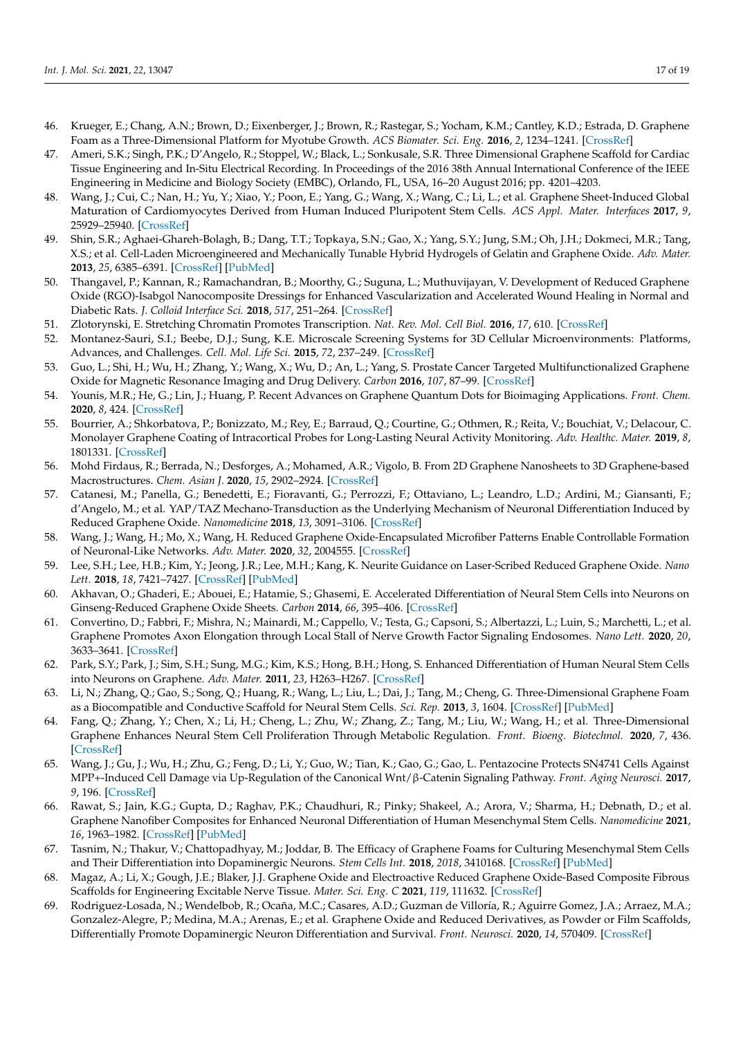- <span id="page-16-0"></span>46. Krueger, E.; Chang, A.N.; Brown, D.; Eixenberger, J.; Brown, R.; Rastegar, S.; Yocham, K.M.; Cantley, K.D.; Estrada, D. Graphene Foam as a Three-Dimensional Platform for Myotube Growth. *ACS Biomater. Sci. Eng.* **2016**, *2*, 1234–1241. [\[CrossRef\]](http://doi.org/10.1021/acsbiomaterials.6b00139)
- <span id="page-16-1"></span>47. Ameri, S.K.; Singh, P.K.; D'Angelo, R.; Stoppel, W.; Black, L.; Sonkusale, S.R. Three Dimensional Graphene Scaffold for Cardiac Tissue Engineering and In-Situ Electrical Recording. In Proceedings of the 2016 38th Annual International Conference of the IEEE Engineering in Medicine and Biology Society (EMBC), Orlando, FL, USA, 16–20 August 2016; pp. 4201–4203.
- <span id="page-16-2"></span>48. Wang, J.; Cui, C.; Nan, H.; Yu, Y.; Xiao, Y.; Poon, E.; Yang, G.; Wang, X.; Wang, C.; Li, L.; et al. Graphene Sheet-Induced Global Maturation of Cardiomyocytes Derived from Human Induced Pluripotent Stem Cells. *ACS Appl. Mater. Interfaces* **2017**, *9*, 25929–25940. [\[CrossRef\]](http://doi.org/10.1021/acsami.7b08777)
- <span id="page-16-3"></span>49. Shin, S.R.; Aghaei-Ghareh-Bolagh, B.; Dang, T.T.; Topkaya, S.N.; Gao, X.; Yang, S.Y.; Jung, S.M.; Oh, J.H.; Dokmeci, M.R.; Tang, X.S.; et al. Cell-Laden Microengineered and Mechanically Tunable Hybrid Hydrogels of Gelatin and Graphene Oxide. *Adv. Mater.* **2013**, *25*, 6385–6391. [\[CrossRef\]](http://doi.org/10.1002/adma.201301082) [\[PubMed\]](http://www.ncbi.nlm.nih.gov/pubmed/23996513)
- <span id="page-16-4"></span>50. Thangavel, P.; Kannan, R.; Ramachandran, B.; Moorthy, G.; Suguna, L.; Muthuvijayan, V. Development of Reduced Graphene Oxide (RGO)-Isabgol Nanocomposite Dressings for Enhanced Vascularization and Accelerated Wound Healing in Normal and Diabetic Rats. *J. Colloid Interface Sci.* **2018**, *517*, 251–264. [\[CrossRef\]](http://doi.org/10.1016/j.jcis.2018.01.110)
- <span id="page-16-5"></span>51. Zlotorynski, E. Stretching Chromatin Promotes Transcription. *Nat. Rev. Mol. Cell Biol.* **2016**, *17*, 610. [\[CrossRef\]](http://doi.org/10.1038/nrm.2016.130)
- <span id="page-16-6"></span>52. Montanez-Sauri, S.I.; Beebe, D.J.; Sung, K.E. Microscale Screening Systems for 3D Cellular Microenvironments: Platforms, Advances, and Challenges. *Cell. Mol. Life Sci.* **2015**, *72*, 237–249. [\[CrossRef\]](http://doi.org/10.1007/s00018-014-1738-5)
- <span id="page-16-7"></span>53. Guo, L.; Shi, H.; Wu, H.; Zhang, Y.; Wang, X.; Wu, D.; An, L.; Yang, S. Prostate Cancer Targeted Multifunctionalized Graphene Oxide for Magnetic Resonance Imaging and Drug Delivery. *Carbon* **2016**, *107*, 87–99. [\[CrossRef\]](http://doi.org/10.1016/j.carbon.2016.05.054)
- <span id="page-16-8"></span>54. Younis, M.R.; He, G.; Lin, J.; Huang, P. Recent Advances on Graphene Quantum Dots for Bioimaging Applications. *Front. Chem.* **2020**, *8*, 424. [\[CrossRef\]](http://doi.org/10.3389/fchem.2020.00424)
- <span id="page-16-9"></span>55. Bourrier, A.; Shkorbatova, P.; Bonizzato, M.; Rey, E.; Barraud, Q.; Courtine, G.; Othmen, R.; Reita, V.; Bouchiat, V.; Delacour, C. Monolayer Graphene Coating of Intracortical Probes for Long-Lasting Neural Activity Monitoring. *Adv. Healthc. Mater.* **2019**, *8*, 1801331. [\[CrossRef\]](http://doi.org/10.1002/adhm.201801331)
- <span id="page-16-10"></span>56. Mohd Firdaus, R.; Berrada, N.; Desforges, A.; Mohamed, A.R.; Vigolo, B. From 2D Graphene Nanosheets to 3D Graphene-based Macrostructures. *Chem. Asian J.* **2020**, *15*, 2902–2924. [\[CrossRef\]](http://doi.org/10.1002/asia.202000747)
- <span id="page-16-11"></span>57. Catanesi, M.; Panella, G.; Benedetti, E.; Fioravanti, G.; Perrozzi, F.; Ottaviano, L.; Leandro, L.D.; Ardini, M.; Giansanti, F.; d'Angelo, M.; et al. YAP/TAZ Mechano-Transduction as the Underlying Mechanism of Neuronal Differentiation Induced by Reduced Graphene Oxide. *Nanomedicine* **2018**, *13*, 3091–3106. [\[CrossRef\]](http://doi.org/10.2217/nnm-2018-0269)
- <span id="page-16-12"></span>58. Wang, J.; Wang, H.; Mo, X.; Wang, H. Reduced Graphene Oxide-Encapsulated Microfiber Patterns Enable Controllable Formation of Neuronal-Like Networks. *Adv. Mater.* **2020**, *32*, 2004555. [\[CrossRef\]](http://doi.org/10.1002/adma.202004555)
- <span id="page-16-13"></span>59. Lee, S.H.; Lee, H.B.; Kim, Y.; Jeong, J.R.; Lee, M.H.; Kang, K. Neurite Guidance on Laser-Scribed Reduced Graphene Oxide. *Nano Lett.* **2018**, *18*, 7421–7427. [\[CrossRef\]](http://doi.org/10.1021/acs.nanolett.8b01651) [\[PubMed\]](http://www.ncbi.nlm.nih.gov/pubmed/29995427)
- <span id="page-16-14"></span>60. Akhavan, O.; Ghaderi, E.; Abouei, E.; Hatamie, S.; Ghasemi, E. Accelerated Differentiation of Neural Stem Cells into Neurons on Ginseng-Reduced Graphene Oxide Sheets. *Carbon* **2014**, *66*, 395–406. [\[CrossRef\]](http://doi.org/10.1016/j.carbon.2013.09.015)
- <span id="page-16-15"></span>61. Convertino, D.; Fabbri, F.; Mishra, N.; Mainardi, M.; Cappello, V.; Testa, G.; Capsoni, S.; Albertazzi, L.; Luin, S.; Marchetti, L.; et al. Graphene Promotes Axon Elongation through Local Stall of Nerve Growth Factor Signaling Endosomes. *Nano Lett.* **2020**, *20*, 3633–3641. [\[CrossRef\]](http://doi.org/10.1021/acs.nanolett.0c00571)
- <span id="page-16-16"></span>62. Park, S.Y.; Park, J.; Sim, S.H.; Sung, M.G.; Kim, K.S.; Hong, B.H.; Hong, S. Enhanced Differentiation of Human Neural Stem Cells into Neurons on Graphene. *Adv. Mater.* **2011**, *23*, H263–H267. [\[CrossRef\]](http://doi.org/10.1002/adma.201101503)
- <span id="page-16-17"></span>63. Li, N.; Zhang, Q.; Gao, S.; Song, Q.; Huang, R.; Wang, L.; Liu, L.; Dai, J.; Tang, M.; Cheng, G. Three-Dimensional Graphene Foam as a Biocompatible and Conductive Scaffold for Neural Stem Cells. *Sci. Rep.* **2013**, *3*, 1604. [\[CrossRef\]](http://doi.org/10.1038/srep01604) [\[PubMed\]](http://www.ncbi.nlm.nih.gov/pubmed/23549373)
- <span id="page-16-18"></span>64. Fang, Q.; Zhang, Y.; Chen, X.; Li, H.; Cheng, L.; Zhu, W.; Zhang, Z.; Tang, M.; Liu, W.; Wang, H.; et al. Three-Dimensional Graphene Enhances Neural Stem Cell Proliferation Through Metabolic Regulation. *Front. Bioeng. Biotechnol.* **2020**, *7*, 436. [\[CrossRef\]](http://doi.org/10.3389/fbioe.2019.00436)
- <span id="page-16-19"></span>65. Wang, J.; Gu, J.; Wu, H.; Zhu, G.; Feng, D.; Li, Y.; Guo, W.; Tian, K.; Gao, G.; Gao, L. Pentazocine Protects SN4741 Cells Against MPP+-Induced Cell Damage via Up-Regulation of the Canonical Wnt/β-Catenin Signaling Pathway. *Front. Aging Neurosci.* **2017**, *9*, 196. [\[CrossRef\]](http://doi.org/10.3389/fnagi.2017.00196)
- <span id="page-16-20"></span>66. Rawat, S.; Jain, K.G.; Gupta, D.; Raghav, P.K.; Chaudhuri, R.; Pinky; Shakeel, A.; Arora, V.; Sharma, H.; Debnath, D.; et al. Graphene Nanofiber Composites for Enhanced Neuronal Differentiation of Human Mesenchymal Stem Cells. *Nanomedicine* **2021**, *16*, 1963–1982. [\[CrossRef\]](http://doi.org/10.2217/nnm-2021-0121) [\[PubMed\]](http://www.ncbi.nlm.nih.gov/pubmed/34431318)
- <span id="page-16-21"></span>67. Tasnim, N.; Thakur, V.; Chattopadhyay, M.; Joddar, B. The Efficacy of Graphene Foams for Culturing Mesenchymal Stem Cells and Their Differentiation into Dopaminergic Neurons. *Stem Cells Int.* **2018**, *2018*, 3410168. [\[CrossRef\]](http://doi.org/10.1155/2018/3410168) [\[PubMed\]](http://www.ncbi.nlm.nih.gov/pubmed/29971110)
- <span id="page-16-22"></span>68. Magaz, A.; Li, X.; Gough, J.E.; Blaker, J.J. Graphene Oxide and Electroactive Reduced Graphene Oxide-Based Composite Fibrous Scaffolds for Engineering Excitable Nerve Tissue. *Mater. Sci. Eng. C* **2021**, *119*, 111632. [\[CrossRef\]](http://doi.org/10.1016/j.msec.2020.111632)
- <span id="page-16-23"></span>69. Rodriguez-Losada, N.; Wendelbob, R.; Ocaña, M.C.; Casares, A.D.; Guzman de Villoría, R.; Aguirre Gomez, J.A.; Arraez, M.A.; Gonzalez-Alegre, P.; Medina, M.A.; Arenas, E.; et al. Graphene Oxide and Reduced Derivatives, as Powder or Film Scaffolds, Differentially Promote Dopaminergic Neuron Differentiation and Survival. *Front. Neurosci.* **2020**, *14*, 570409. [\[CrossRef\]](http://doi.org/10.3389/fnins.2020.570409)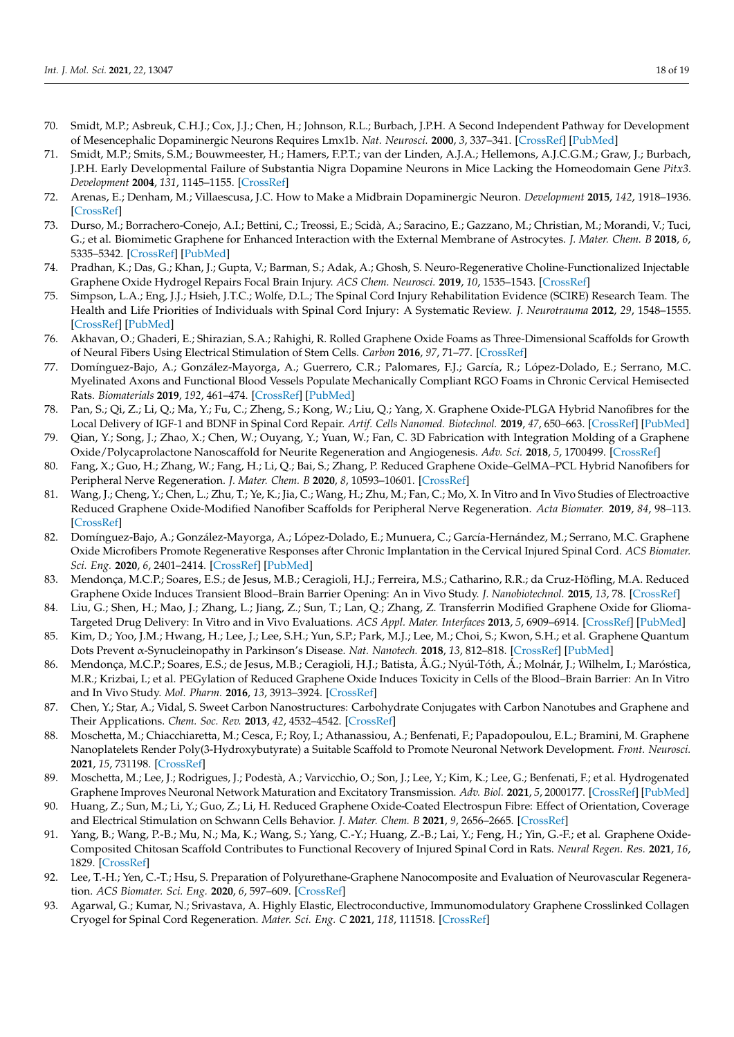- 70. Smidt, M.P.; Asbreuk, C.H.J.; Cox, J.J.; Chen, H.; Johnson, R.L.; Burbach, J.P.H. A Second Independent Pathway for Development of Mesencephalic Dopaminergic Neurons Requires Lmx1b. *Nat. Neurosci.* **2000**, *3*, 337–341. [\[CrossRef\]](http://doi.org/10.1038/73902) [\[PubMed\]](http://www.ncbi.nlm.nih.gov/pubmed/10725922)
- 71. Smidt, M.P.; Smits, S.M.; Bouwmeester, H.; Hamers, F.P.T.; van der Linden, A.J.A.; Hellemons, A.J.C.G.M.; Graw, J.; Burbach, J.P.H. Early Developmental Failure of Substantia Nigra Dopamine Neurons in Mice Lacking the Homeodomain Gene *Pitx3*. *Development* **2004**, *131*, 1145–1155. [\[CrossRef\]](http://doi.org/10.1242/dev.01022)
- <span id="page-17-0"></span>72. Arenas, E.; Denham, M.; Villaescusa, J.C. How to Make a Midbrain Dopaminergic Neuron. *Development* **2015**, *142*, 1918–1936. [\[CrossRef\]](http://doi.org/10.1242/dev.097394)
- <span id="page-17-1"></span>73. Durso, M.; Borrachero-Conejo, A.I.; Bettini, C.; Treossi, E.; Scidà, A.; Saracino, E.; Gazzano, M.; Christian, M.; Morandi, V.; Tuci, G.; et al. Biomimetic Graphene for Enhanced Interaction with the External Membrane of Astrocytes. *J. Mater. Chem. B* **2018**, *6*, 5335–5342. [\[CrossRef\]](http://doi.org/10.1039/C8TB01410H) [\[PubMed\]](http://www.ncbi.nlm.nih.gov/pubmed/32254499)
- <span id="page-17-2"></span>74. Pradhan, K.; Das, G.; Khan, J.; Gupta, V.; Barman, S.; Adak, A.; Ghosh, S. Neuro-Regenerative Choline-Functionalized Injectable Graphene Oxide Hydrogel Repairs Focal Brain Injury. *ACS Chem. Neurosci.* **2019**, *10*, 1535–1543. [\[CrossRef\]](http://doi.org/10.1021/acschemneuro.8b00514)
- <span id="page-17-3"></span>75. Simpson, L.A.; Eng, J.J.; Hsieh, J.T.C.; Wolfe, D.L.; The Spinal Cord Injury Rehabilitation Evidence (SCIRE) Research Team. The Health and Life Priorities of Individuals with Spinal Cord Injury: A Systematic Review. *J. Neurotrauma* **2012**, *29*, 1548–1555. [\[CrossRef\]](http://doi.org/10.1089/neu.2011.2226) [\[PubMed\]](http://www.ncbi.nlm.nih.gov/pubmed/22320160)
- <span id="page-17-4"></span>76. Akhavan, O.; Ghaderi, E.; Shirazian, S.A.; Rahighi, R. Rolled Graphene Oxide Foams as Three-Dimensional Scaffolds for Growth of Neural Fibers Using Electrical Stimulation of Stem Cells. *Carbon* **2016**, *97*, 71–77. [\[CrossRef\]](http://doi.org/10.1016/j.carbon.2015.06.079)
- <span id="page-17-5"></span>77. Domínguez-Bajo, A.; González-Mayorga, A.; Guerrero, C.R.; Palomares, F.J.; García, R.; López-Dolado, E.; Serrano, M.C. Myelinated Axons and Functional Blood Vessels Populate Mechanically Compliant RGO Foams in Chronic Cervical Hemisected Rats. *Biomaterials* **2019**, *192*, 461–474. [\[CrossRef\]](http://doi.org/10.1016/j.biomaterials.2018.11.024) [\[PubMed\]](http://www.ncbi.nlm.nih.gov/pubmed/30502723)
- <span id="page-17-6"></span>78. Pan, S.; Qi, Z.; Li, Q.; Ma, Y.; Fu, C.; Zheng, S.; Kong, W.; Liu, Q.; Yang, X. Graphene Oxide-PLGA Hybrid Nanofibres for the Local Delivery of IGF-1 and BDNF in Spinal Cord Repair. *Artif. Cells Nanomed. Biotechnol.* **2019**, *47*, 650–663. [\[CrossRef\]](http://doi.org/10.1080/21691401.2019.1575843) [\[PubMed\]](http://www.ncbi.nlm.nih.gov/pubmed/30829545)
- <span id="page-17-7"></span>79. Qian, Y.; Song, J.; Zhao, X.; Chen, W.; Ouyang, Y.; Yuan, W.; Fan, C. 3D Fabrication with Integration Molding of a Graphene Oxide/Polycaprolactone Nanoscaffold for Neurite Regeneration and Angiogenesis. *Adv. Sci.* **2018**, *5*, 1700499. [\[CrossRef\]](http://doi.org/10.1002/advs.201700499)
- <span id="page-17-8"></span>80. Fang, X.; Guo, H.; Zhang, W.; Fang, H.; Li, Q.; Bai, S.; Zhang, P. Reduced Graphene Oxide–GelMA–PCL Hybrid Nanofibers for Peripheral Nerve Regeneration. *J. Mater. Chem. B* **2020**, *8*, 10593–10601. [\[CrossRef\]](http://doi.org/10.1039/D0TB00779J)
- <span id="page-17-9"></span>81. Wang, J.; Cheng, Y.; Chen, L.; Zhu, T.; Ye, K.; Jia, C.; Wang, H.; Zhu, M.; Fan, C.; Mo, X. In Vitro and In Vivo Studies of Electroactive Reduced Graphene Oxide-Modified Nanofiber Scaffolds for Peripheral Nerve Regeneration. *Acta Biomater.* **2019**, *84*, 98–113. [\[CrossRef\]](http://doi.org/10.1016/j.actbio.2018.11.032)
- <span id="page-17-10"></span>82. Domínguez-Bajo, A.; González-Mayorga, A.; López-Dolado, E.; Munuera, C.; García-Hernández, M.; Serrano, M.C. Graphene Oxide Microfibers Promote Regenerative Responses after Chronic Implantation in the Cervical Injured Spinal Cord. *ACS Biomater. Sci. Eng.* **2020**, *6*, 2401–2414. [\[CrossRef\]](http://doi.org/10.1021/acsbiomaterials.0c00345) [\[PubMed\]](http://www.ncbi.nlm.nih.gov/pubmed/33455347)
- <span id="page-17-11"></span>83. Mendonça, M.C.P.; Soares, E.S.; de Jesus, M.B.; Ceragioli, H.J.; Ferreira, M.S.; Catharino, R.R.; da Cruz-Höfling, M.A. Reduced Graphene Oxide Induces Transient Blood–Brain Barrier Opening: An in Vivo Study. *J. Nanobiotechnol.* **2015**, *13*, 78. [\[CrossRef\]](http://doi.org/10.1186/s12951-015-0143-z)
- <span id="page-17-12"></span>84. Liu, G.; Shen, H.; Mao, J.; Zhang, L.; Jiang, Z.; Sun, T.; Lan, Q.; Zhang, Z. Transferrin Modified Graphene Oxide for Glioma-Targeted Drug Delivery: In Vitro and in Vivo Evaluations. *ACS Appl. Mater. Interfaces* **2013**, *5*, 6909–6914. [\[CrossRef\]](http://doi.org/10.1021/am402128s) [\[PubMed\]](http://www.ncbi.nlm.nih.gov/pubmed/23883622)
- <span id="page-17-13"></span>85. Kim, D.; Yoo, J.M.; Hwang, H.; Lee, J.; Lee, S.H.; Yun, S.P.; Park, M.J.; Lee, M.; Choi, S.; Kwon, S.H.; et al. Graphene Quantum Dots Prevent α-Synucleinopathy in Parkinson's Disease. *Nat. Nanotech.* **2018**, *13*, 812–818. [\[CrossRef\]](http://doi.org/10.1038/s41565-018-0179-y) [\[PubMed\]](http://www.ncbi.nlm.nih.gov/pubmed/29988049)
- <span id="page-17-14"></span>86. Mendonça, M.C.P.; Soares, E.S.; de Jesus, M.B.; Ceragioli, H.J.; Batista, Â.G.; Nyúl-Tóth, Á.; Molnár, J.; Wilhelm, I.; Maróstica, M.R.; Krizbai, I.; et al. PEGylation of Reduced Graphene Oxide Induces Toxicity in Cells of the Blood–Brain Barrier: An In Vitro and In Vivo Study. *Mol. Pharm.* **2016**, *13*, 3913–3924. [\[CrossRef\]](http://doi.org/10.1021/acs.molpharmaceut.6b00696)
- <span id="page-17-15"></span>87. Chen, Y.; Star, A.; Vidal, S. Sweet Carbon Nanostructures: Carbohydrate Conjugates with Carbon Nanotubes and Graphene and Their Applications. *Chem. Soc. Rev.* **2013**, *42*, 4532–4542. [\[CrossRef\]](http://doi.org/10.1039/C2CS35396B)
- <span id="page-17-16"></span>88. Moschetta, M.; Chiacchiaretta, M.; Cesca, F.; Roy, I.; Athanassiou, A.; Benfenati, F.; Papadopoulou, E.L.; Bramini, M. Graphene Nanoplatelets Render Poly(3-Hydroxybutyrate) a Suitable Scaffold to Promote Neuronal Network Development. *Front. Neurosci.* **2021**, *15*, 731198. [\[CrossRef\]](http://doi.org/10.3389/fnins.2021.731198)
- <span id="page-17-17"></span>89. Moschetta, M.; Lee, J.; Rodrigues, J.; Podestà, A.; Varvicchio, O.; Son, J.; Lee, Y.; Kim, K.; Lee, G.; Benfenati, F.; et al. Hydrogenated Graphene Improves Neuronal Network Maturation and Excitatory Transmission. *Adv. Biol.* **2021**, *5*, 2000177. [\[CrossRef\]](http://doi.org/10.1002/adbi.202000177) [\[PubMed\]](http://www.ncbi.nlm.nih.gov/pubmed/33724729)
- <span id="page-17-18"></span>90. Huang, Z.; Sun, M.; Li, Y.; Guo, Z.; Li, H. Reduced Graphene Oxide-Coated Electrospun Fibre: Effect of Orientation, Coverage and Electrical Stimulation on Schwann Cells Behavior. *J. Mater. Chem. B* **2021**, *9*, 2656–2665. [\[CrossRef\]](http://doi.org/10.1039/D1TB00054C)
- <span id="page-17-19"></span>91. Yang, B.; Wang, P.-B.; Mu, N.; Ma, K.; Wang, S.; Yang, C.-Y.; Huang, Z.-B.; Lai, Y.; Feng, H.; Yin, G.-F.; et al. Graphene Oxide-Composited Chitosan Scaffold Contributes to Functional Recovery of Injured Spinal Cord in Rats. *Neural Regen. Res.* **2021**, *16*, 1829. [\[CrossRef\]](http://doi.org/10.4103/1673-5374.306095)
- <span id="page-17-20"></span>92. Lee, T.-H.; Yen, C.-T.; Hsu, S. Preparation of Polyurethane-Graphene Nanocomposite and Evaluation of Neurovascular Regeneration. *ACS Biomater. Sci. Eng.* **2020**, *6*, 597–609. [\[CrossRef\]](http://doi.org/10.1021/acsbiomaterials.9b01473)
- <span id="page-17-21"></span>93. Agarwal, G.; Kumar, N.; Srivastava, A. Highly Elastic, Electroconductive, Immunomodulatory Graphene Crosslinked Collagen Cryogel for Spinal Cord Regeneration. *Mater. Sci. Eng. C* **2021**, *118*, 111518. [\[CrossRef\]](http://doi.org/10.1016/j.msec.2020.111518)